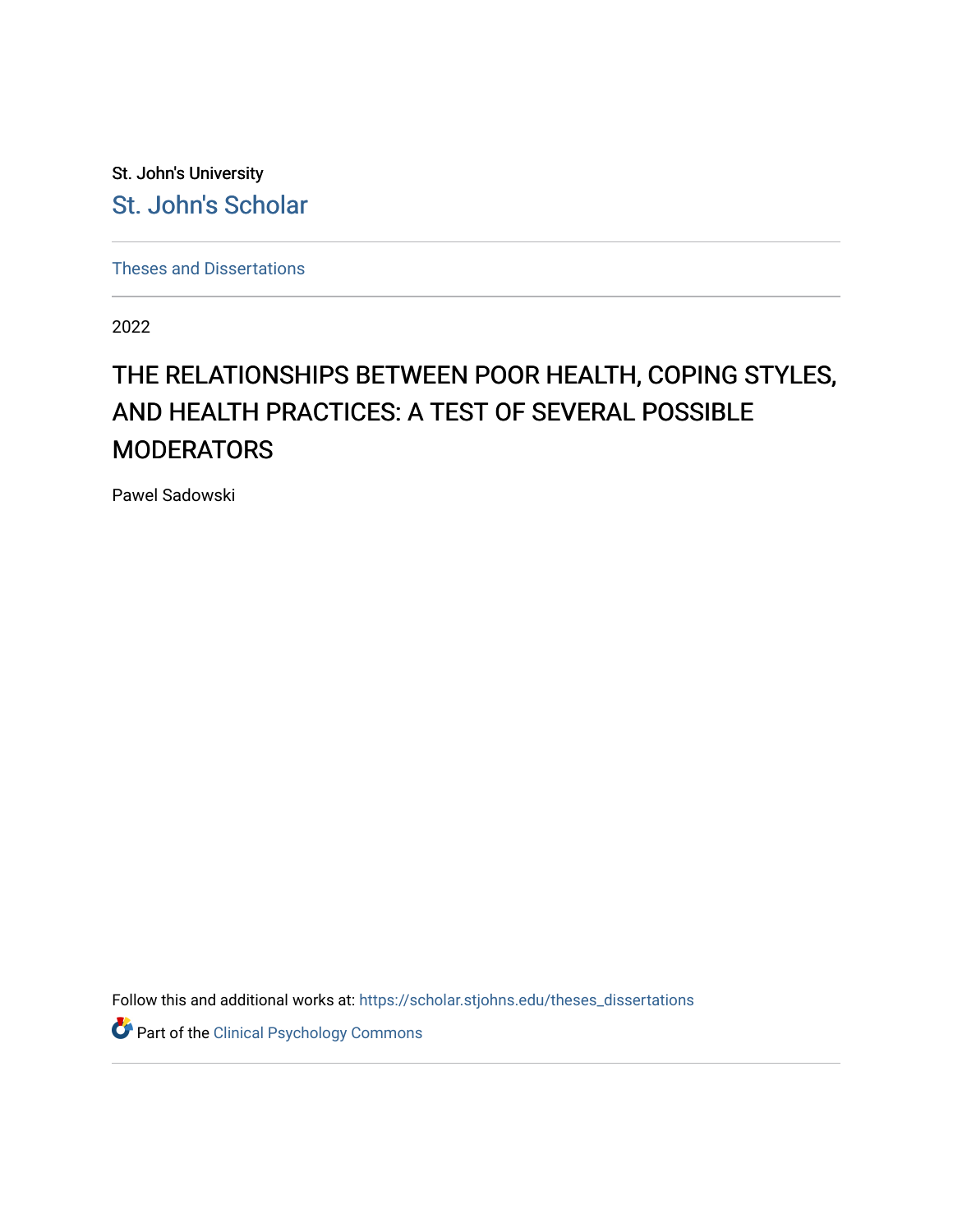St. John's University [St. John's Scholar](https://scholar.stjohns.edu/) 

[Theses and Dissertations](https://scholar.stjohns.edu/theses_dissertations)

2022

# THE RELATIONSHIPS BETWEEN POOR HEALTH, COPING STYLES, AND HEALTH PRACTICES: A TEST OF SEVERAL POSSIBLE MODERATORS

Pawel Sadowski

Follow this and additional works at: [https://scholar.stjohns.edu/theses\\_dissertations](https://scholar.stjohns.edu/theses_dissertations?utm_source=scholar.stjohns.edu%2Ftheses_dissertations%2F384&utm_medium=PDF&utm_campaign=PDFCoverPages)

Part of the [Clinical Psychology Commons](https://network.bepress.com/hgg/discipline/406?utm_source=scholar.stjohns.edu%2Ftheses_dissertations%2F384&utm_medium=PDF&utm_campaign=PDFCoverPages)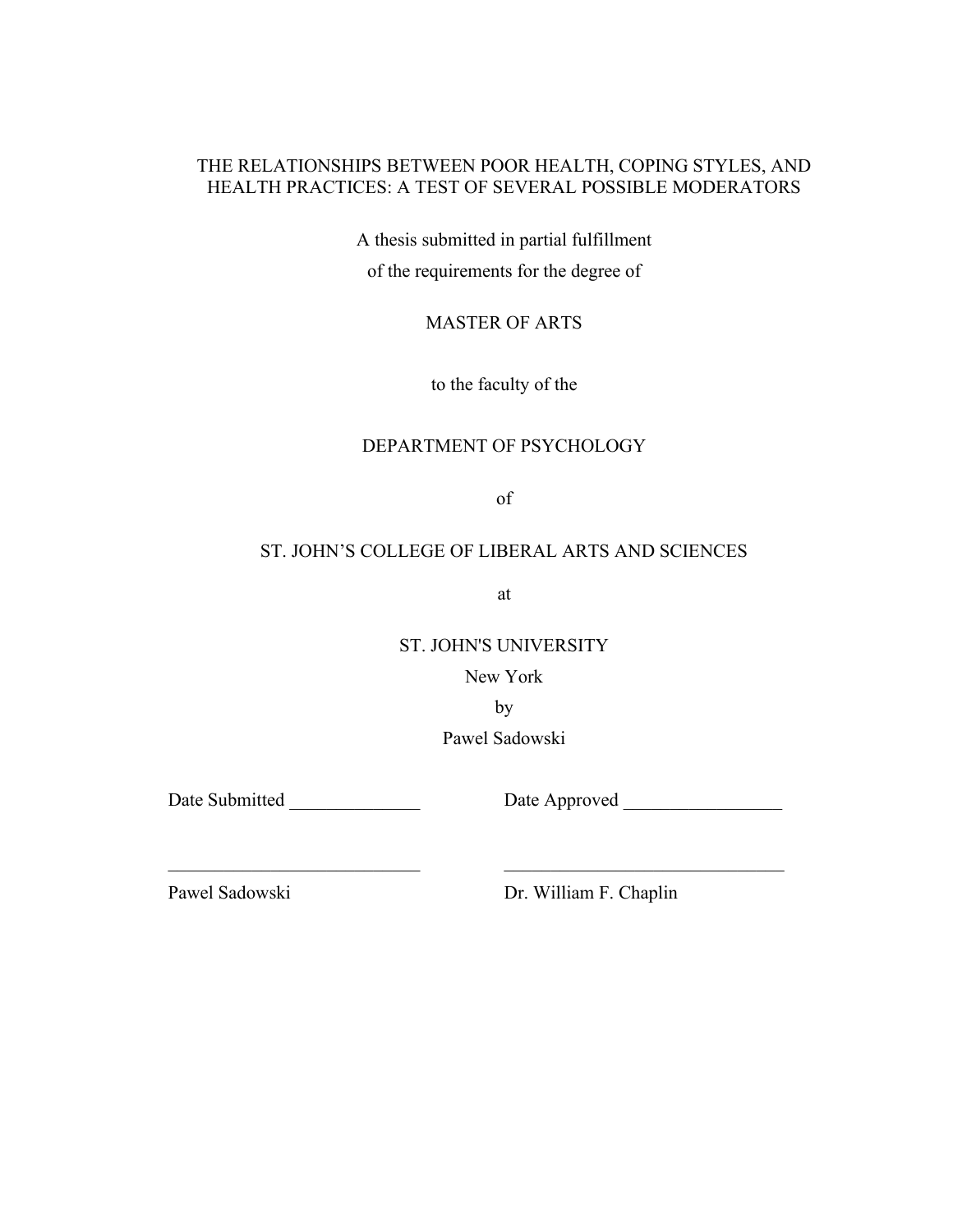### THE RELATIONSHIPS BETWEEN POOR HEALTH, COPING STYLES, AND HEALTH PRACTICES: A TEST OF SEVERAL POSSIBLE MODERATORS

A thesis submitted in partial fulfillment of the requirements for the degree of

MASTER OF ARTS

to the faculty of the

### DEPARTMENT OF PSYCHOLOGY

of

### ST. JOHN'S COLLEGE OF LIBERAL ARTS AND SCIENCES

at

ST. JOHN'S UNIVERSITY

New York

by

Pawel Sadowski

 $\mathcal{L}_\text{max}$  and the contract of the contract of the contract of the contract of the contract of the contract of

Date Submitted \_\_\_\_\_\_\_\_\_\_\_\_\_\_\_\_\_\_\_\_\_\_\_\_ Date Approved \_\_\_\_\_\_\_\_\_\_\_\_\_\_\_\_\_\_\_\_\_\_\_\_\_\_

Pawel Sadowski Dr. William F. Chaplin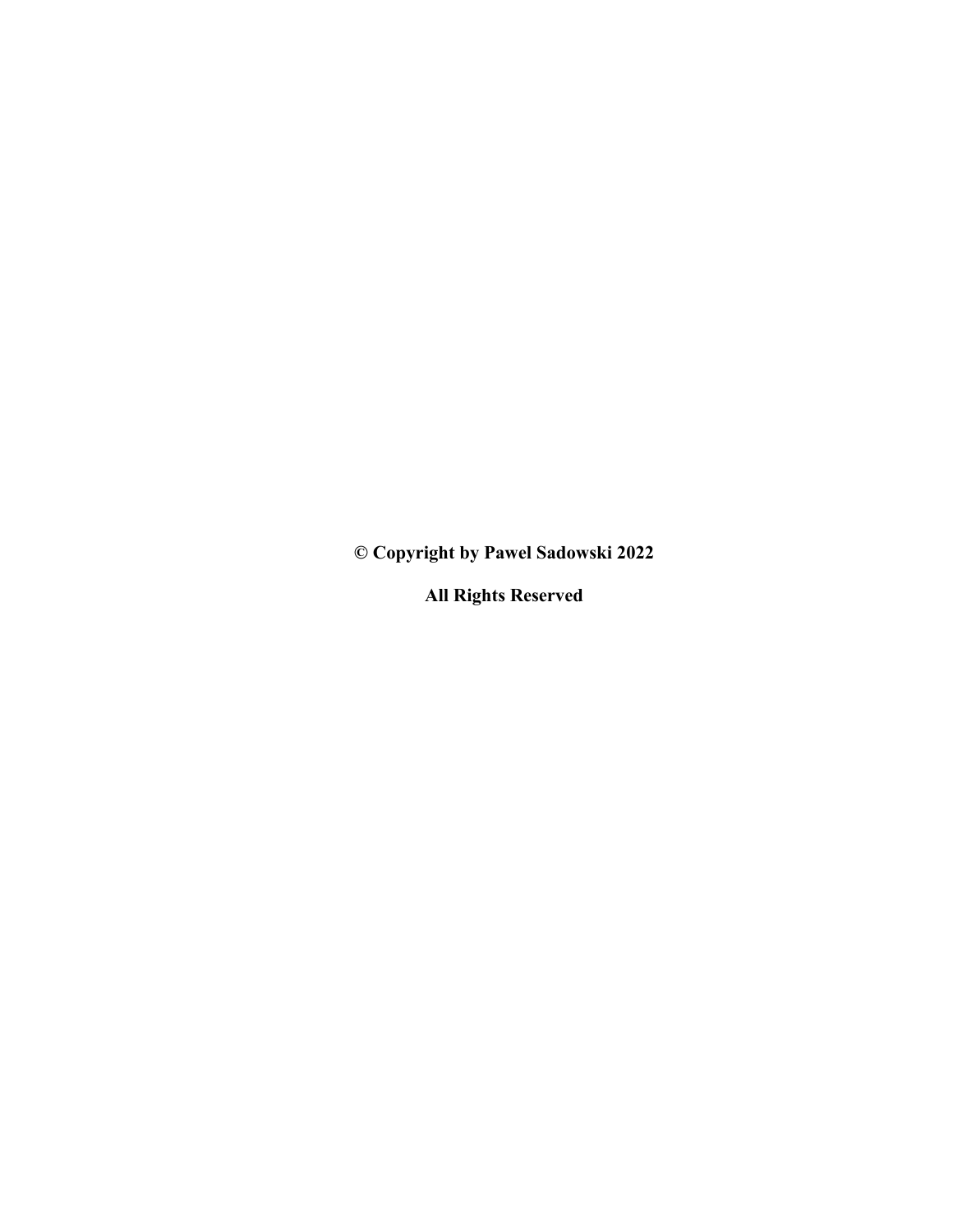**© Copyright by Pawel Sadowski 2022**

**All Rights Reserved**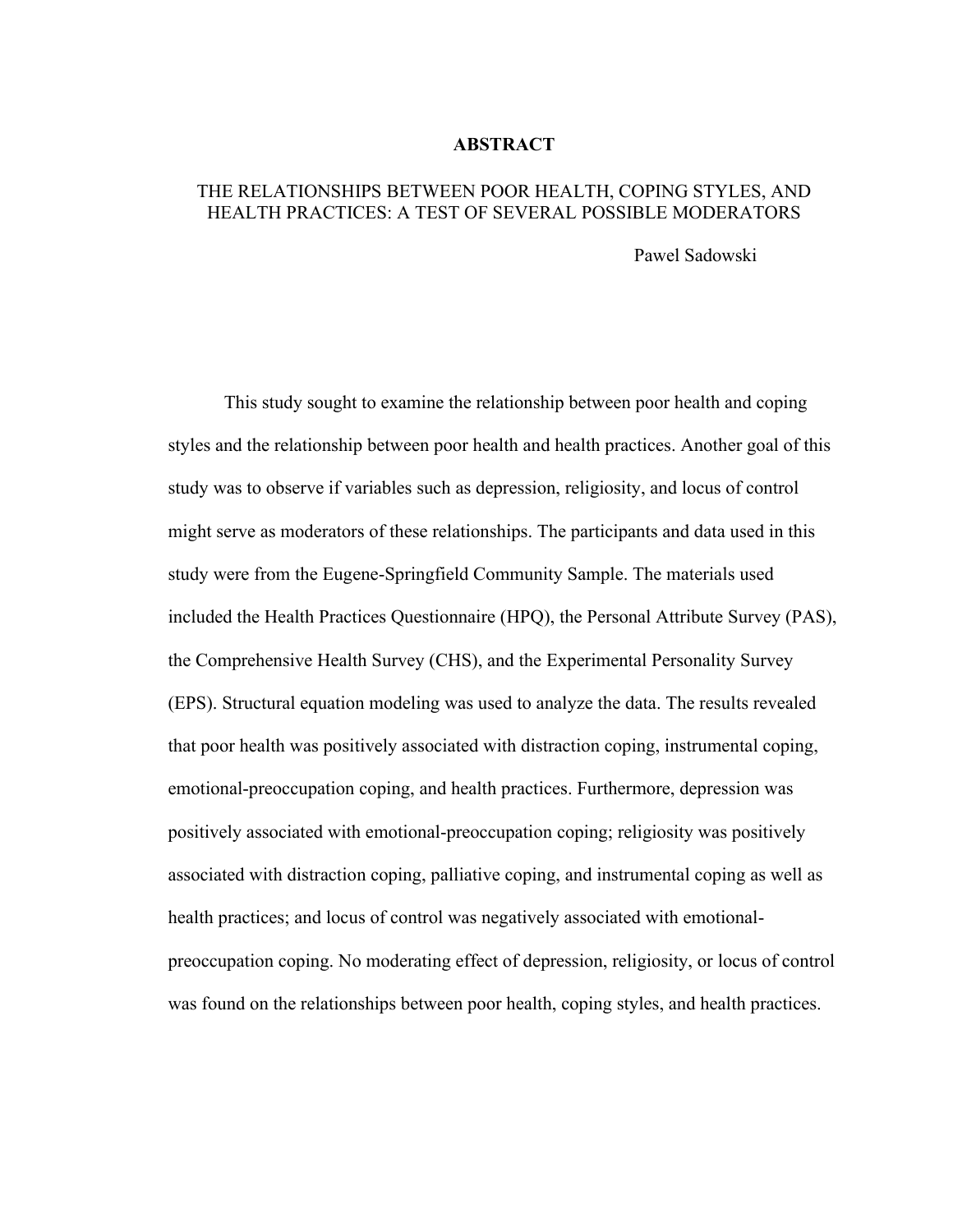#### **ABSTRACT**

### THE RELATIONSHIPS BETWEEN POOR HEALTH, COPING STYLES, AND HEALTH PRACTICES: A TEST OF SEVERAL POSSIBLE MODERATORS

Pawel Sadowski

This study sought to examine the relationship between poor health and coping styles and the relationship between poor health and health practices. Another goal of this study was to observe if variables such as depression, religiosity, and locus of control might serve as moderators of these relationships. The participants and data used in this study were from the Eugene-Springfield Community Sample. The materials used included the Health Practices Questionnaire (HPQ), the Personal Attribute Survey (PAS), the Comprehensive Health Survey (CHS), and the Experimental Personality Survey (EPS). Structural equation modeling was used to analyze the data. The results revealed that poor health was positively associated with distraction coping, instrumental coping, emotional-preoccupation coping, and health practices. Furthermore, depression was positively associated with emotional-preoccupation coping; religiosity was positively associated with distraction coping, palliative coping, and instrumental coping as well as health practices; and locus of control was negatively associated with emotionalpreoccupation coping. No moderating effect of depression, religiosity, or locus of control was found on the relationships between poor health, coping styles, and health practices.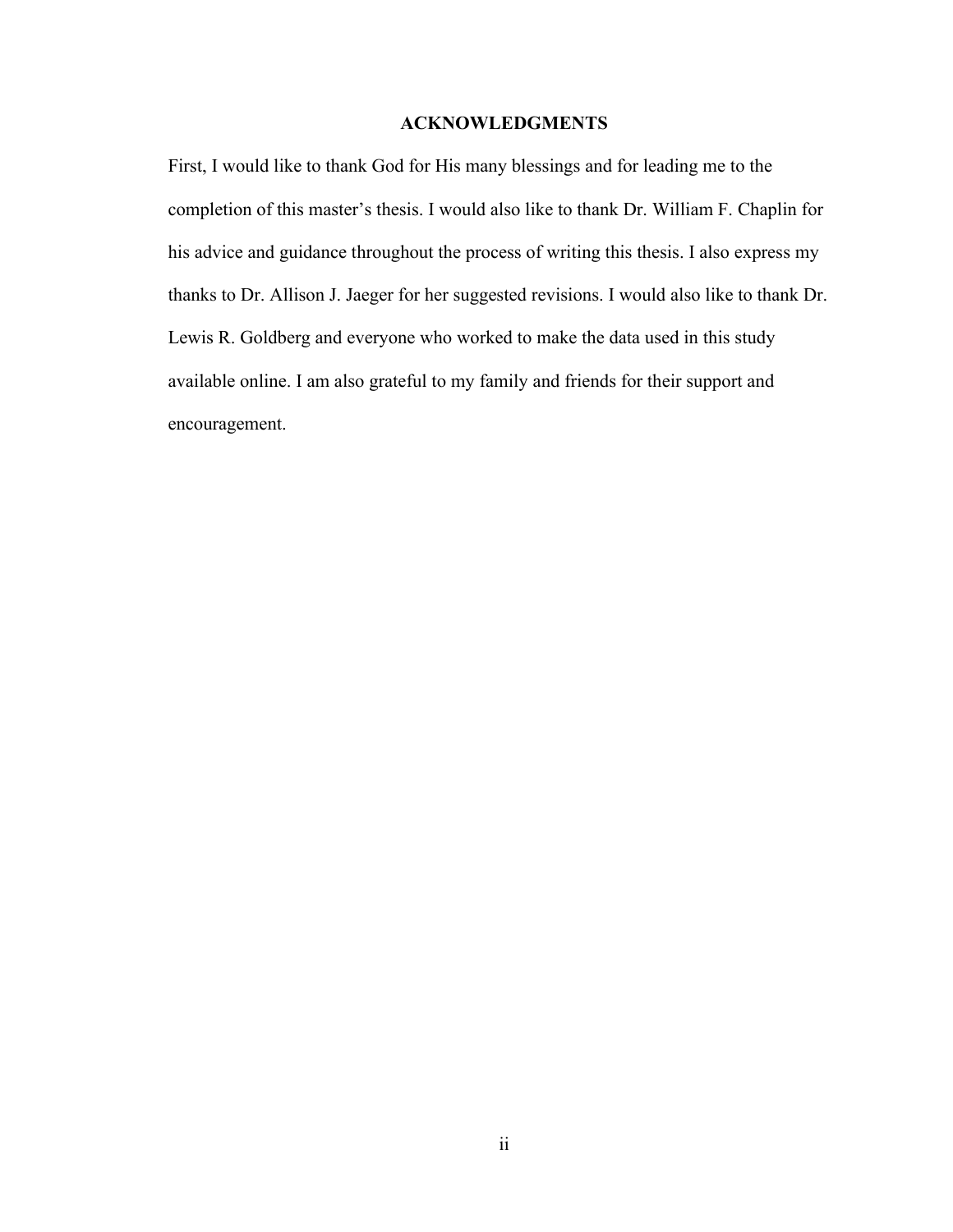#### **ACKNOWLEDGMENTS**

<span id="page-4-0"></span>First, I would like to thank God for His many blessings and for leading me to the completion of this master's thesis. I would also like to thank Dr. William F. Chaplin for his advice and guidance throughout the process of writing this thesis. I also express my thanks to Dr. Allison J. Jaeger for her suggested revisions. I would also like to thank Dr. Lewis R. Goldberg and everyone who worked to make the data used in this study available online. I am also grateful to my family and friends for their support and encouragement.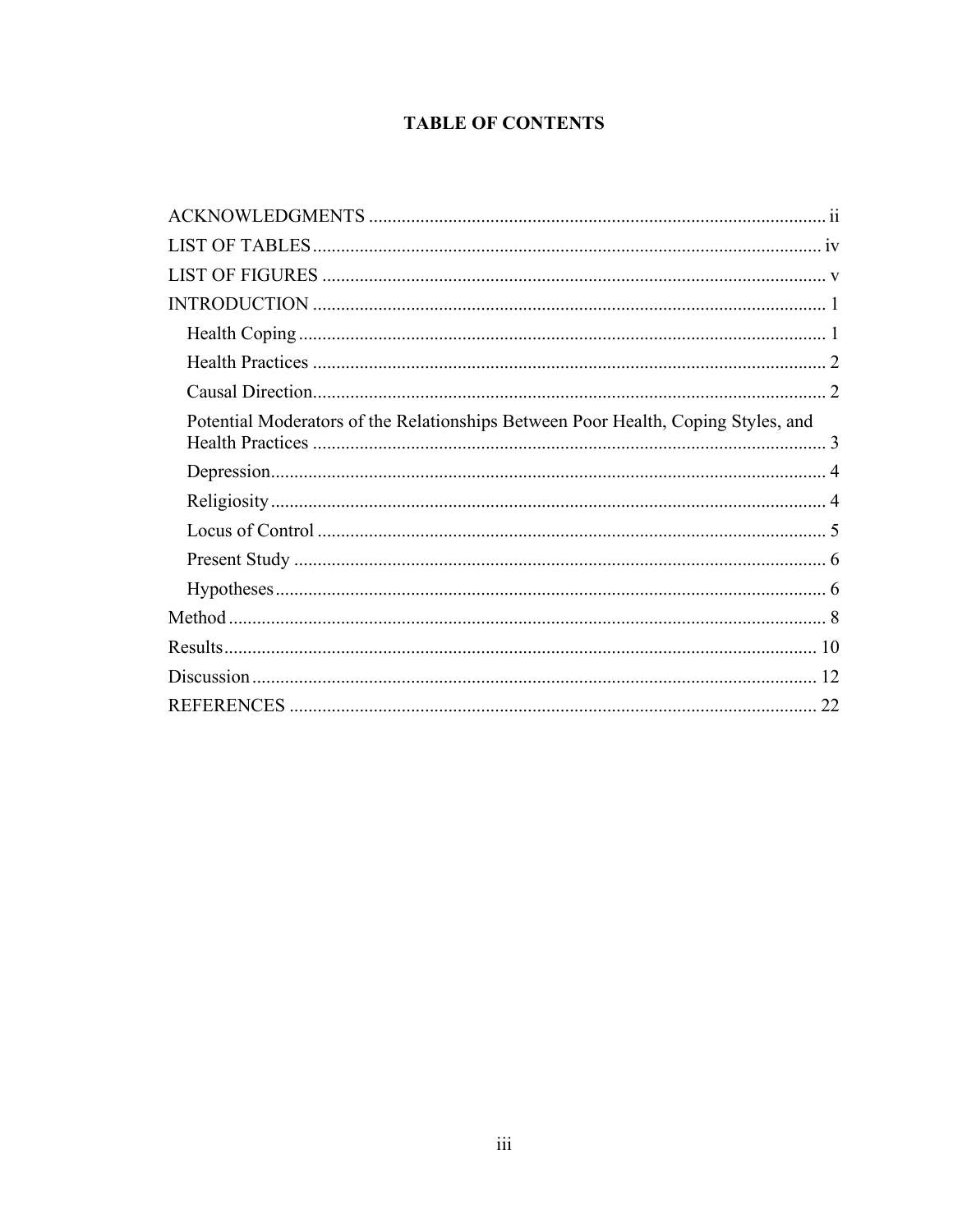### **TABLE OF CONTENTS**

<span id="page-5-0"></span>

| Potential Moderators of the Relationships Between Poor Health, Coping Styles, and |  |
|-----------------------------------------------------------------------------------|--|
|                                                                                   |  |
|                                                                                   |  |
|                                                                                   |  |
|                                                                                   |  |
|                                                                                   |  |
|                                                                                   |  |
|                                                                                   |  |
|                                                                                   |  |
|                                                                                   |  |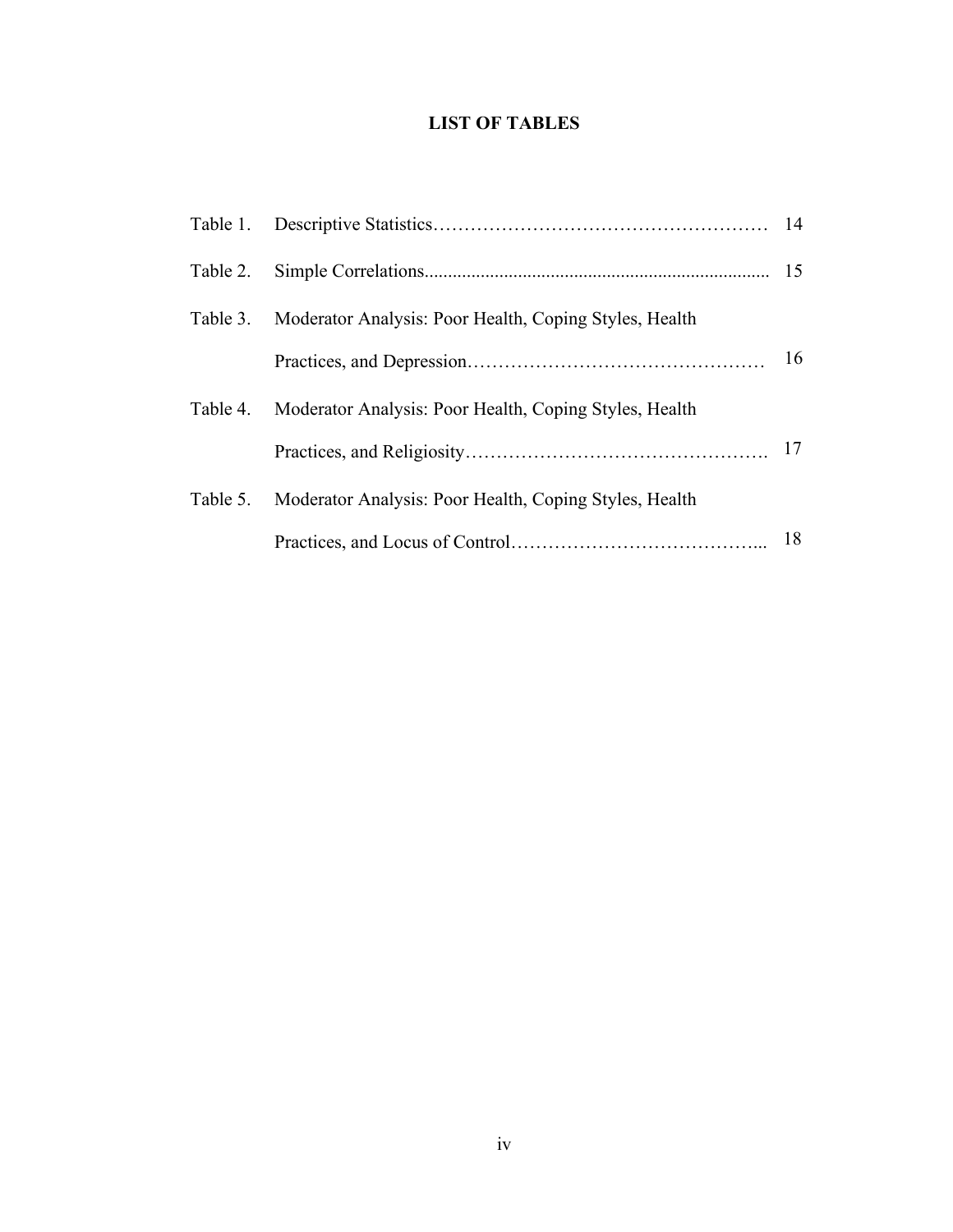### **LIST OF TABLES**

| Table 2. |                                                        |    |
|----------|--------------------------------------------------------|----|
| Table 3. | Moderator Analysis: Poor Health, Coping Styles, Health |    |
|          |                                                        | 16 |
| Table 4. | Moderator Analysis: Poor Health, Coping Styles, Health |    |
|          |                                                        | 17 |
| Table 5. | Moderator Analysis: Poor Health, Coping Styles, Health |    |
|          |                                                        | 18 |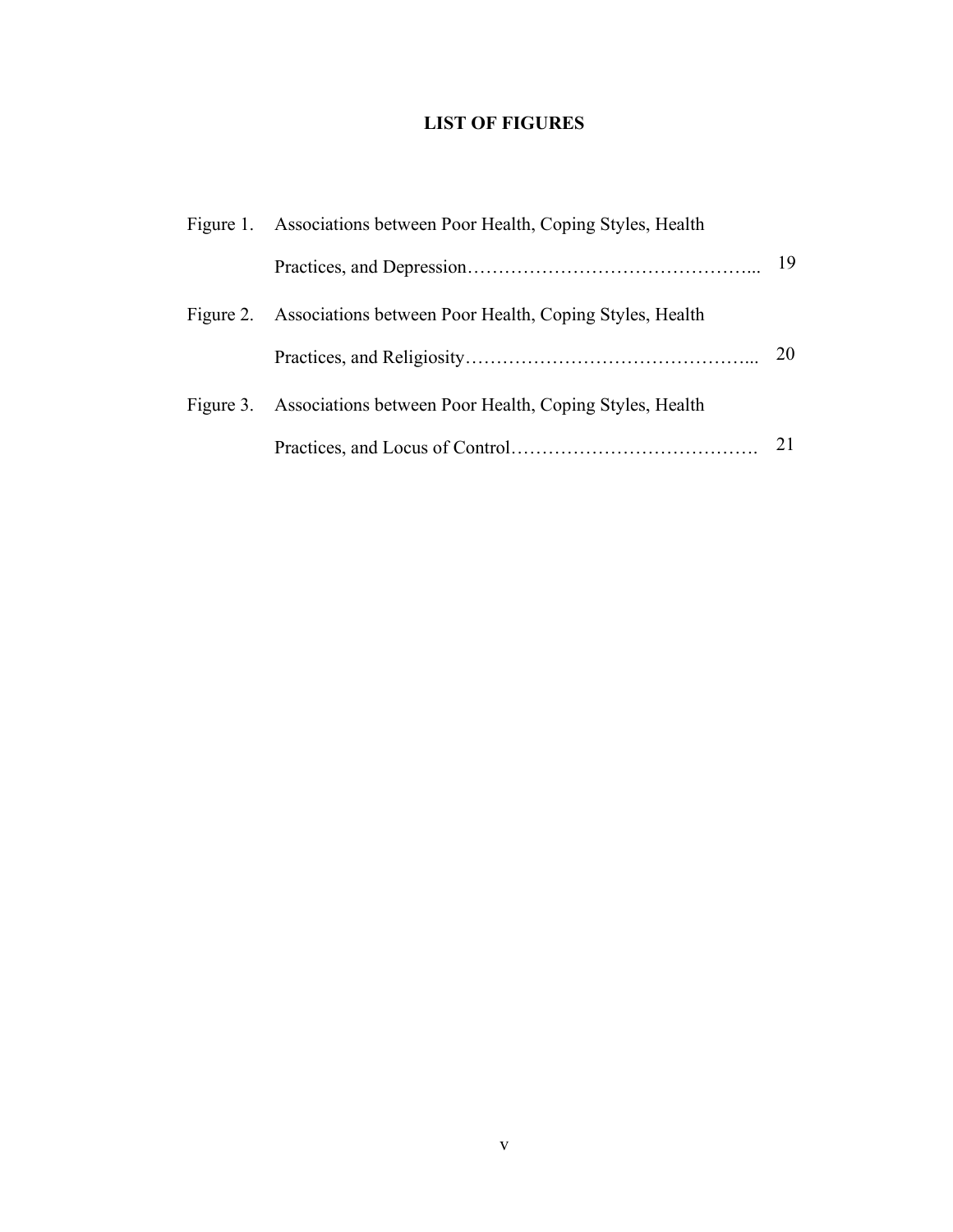### **LIST OF FIGURES**

<span id="page-7-0"></span>

| Figure 1. Associations between Poor Health, Coping Styles, Health |    |
|-------------------------------------------------------------------|----|
|                                                                   | 19 |
| Figure 2. Associations between Poor Health, Coping Styles, Health |    |
|                                                                   | 20 |
| Figure 3. Associations between Poor Health, Coping Styles, Health |    |
|                                                                   |    |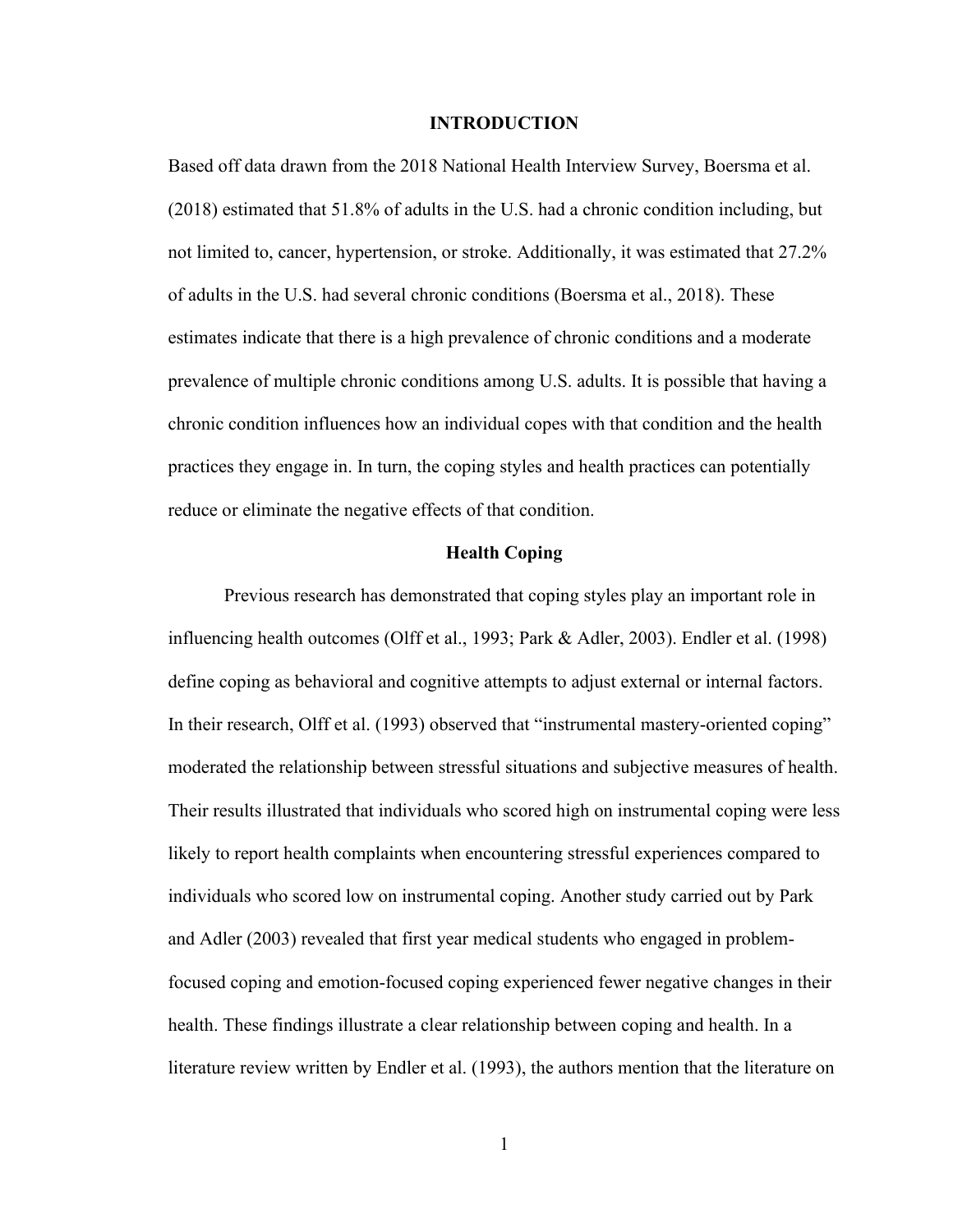#### **INTRODUCTION**

<span id="page-8-0"></span>Based off data drawn from the 2018 National Health Interview Survey, Boersma et al. (2018) estimated that 51.8% of adults in the U.S. had a chronic condition including, but not limited to, cancer, hypertension, or stroke. Additionally, it was estimated that 27.2% of adults in the U.S. had several chronic conditions (Boersma et al., 2018). These estimates indicate that there is a high prevalence of chronic conditions and a moderate prevalence of multiple chronic conditions among U.S. adults. It is possible that having a chronic condition influences how an individual copes with that condition and the health practices they engage in. In turn, the coping styles and health practices can potentially reduce or eliminate the negative effects of that condition.

#### **Health Coping**

<span id="page-8-1"></span>Previous research has demonstrated that coping styles play an important role in influencing health outcomes (Olff et al., 1993; Park & Adler, 2003). Endler et al. (1998) define coping as behavioral and cognitive attempts to adjust external or internal factors. In their research, Olff et al. (1993) observed that "instrumental mastery-oriented coping" moderated the relationship between stressful situations and subjective measures of health. Their results illustrated that individuals who scored high on instrumental coping were less likely to report health complaints when encountering stressful experiences compared to individuals who scored low on instrumental coping. Another study carried out by Park and Adler (2003) revealed that first year medical students who engaged in problemfocused coping and emotion-focused coping experienced fewer negative changes in their health. These findings illustrate a clear relationship between coping and health. In a literature review written by Endler et al. (1993), the authors mention that the literature on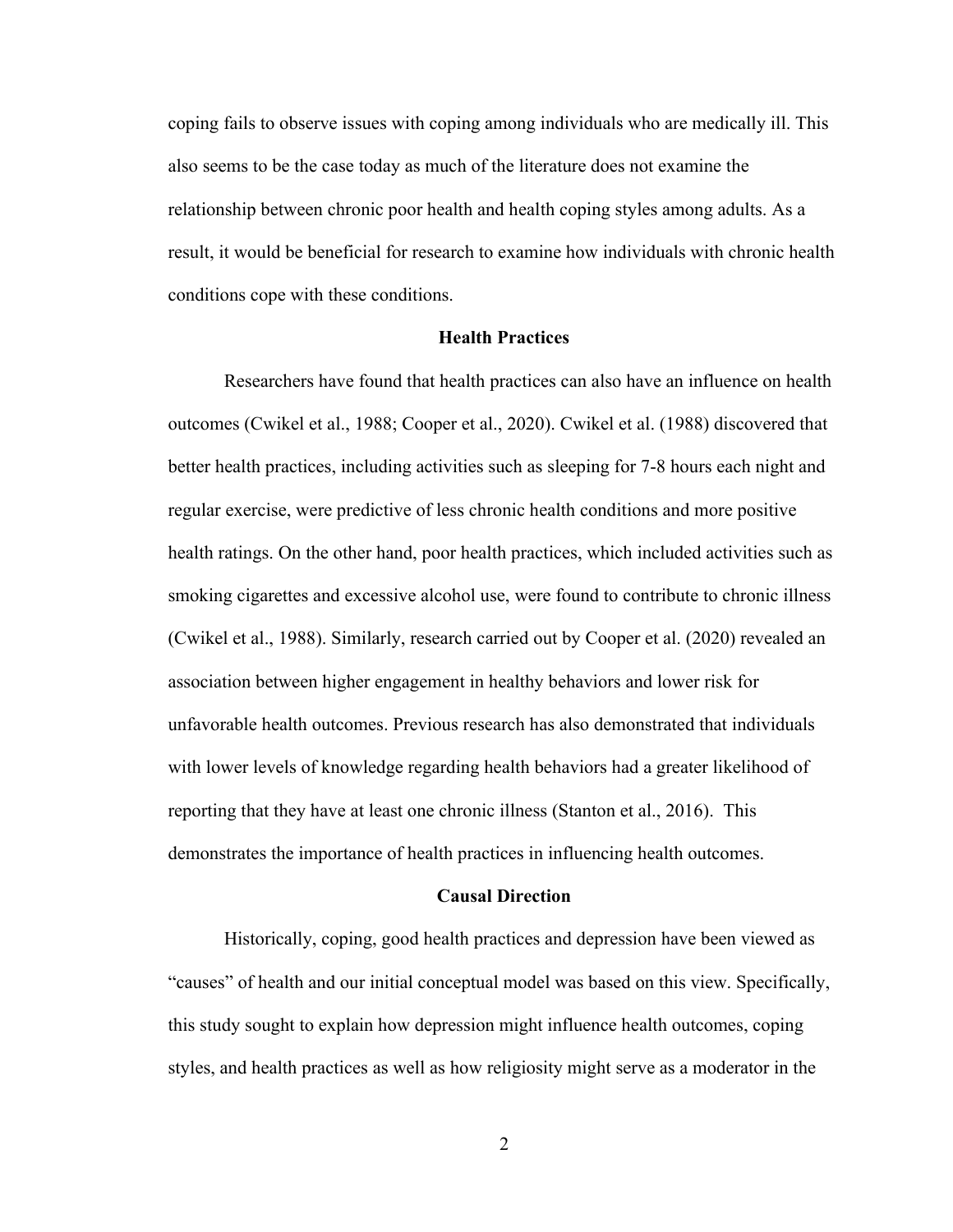coping fails to observe issues with coping among individuals who are medically ill. This also seems to be the case today as much of the literature does not examine the relationship between chronic poor health and health coping styles among adults. As a result, it would be beneficial for research to examine how individuals with chronic health conditions cope with these conditions.

#### **Health Practices**

<span id="page-9-0"></span>Researchers have found that health practices can also have an influence on health outcomes (Cwikel et al., 1988; Cooper et al., 2020). Cwikel et al. (1988) discovered that better health practices, including activities such as sleeping for 7-8 hours each night and regular exercise, were predictive of less chronic health conditions and more positive health ratings. On the other hand, poor health practices, which included activities such as smoking cigarettes and excessive alcohol use, were found to contribute to chronic illness (Cwikel et al., 1988). Similarly, research carried out by Cooper et al. (2020) revealed an association between higher engagement in healthy behaviors and lower risk for unfavorable health outcomes. Previous research has also demonstrated that individuals with lower levels of knowledge regarding health behaviors had a greater likelihood of reporting that they have at least one chronic illness (Stanton et al., 2016). This demonstrates the importance of health practices in influencing health outcomes.

#### **Causal Direction**

<span id="page-9-1"></span>Historically, coping, good health practices and depression have been viewed as "causes" of health and our initial conceptual model was based on this view. Specifically, this study sought to explain how depression might influence health outcomes, coping styles, and health practices as well as how religiosity might serve as a moderator in the

2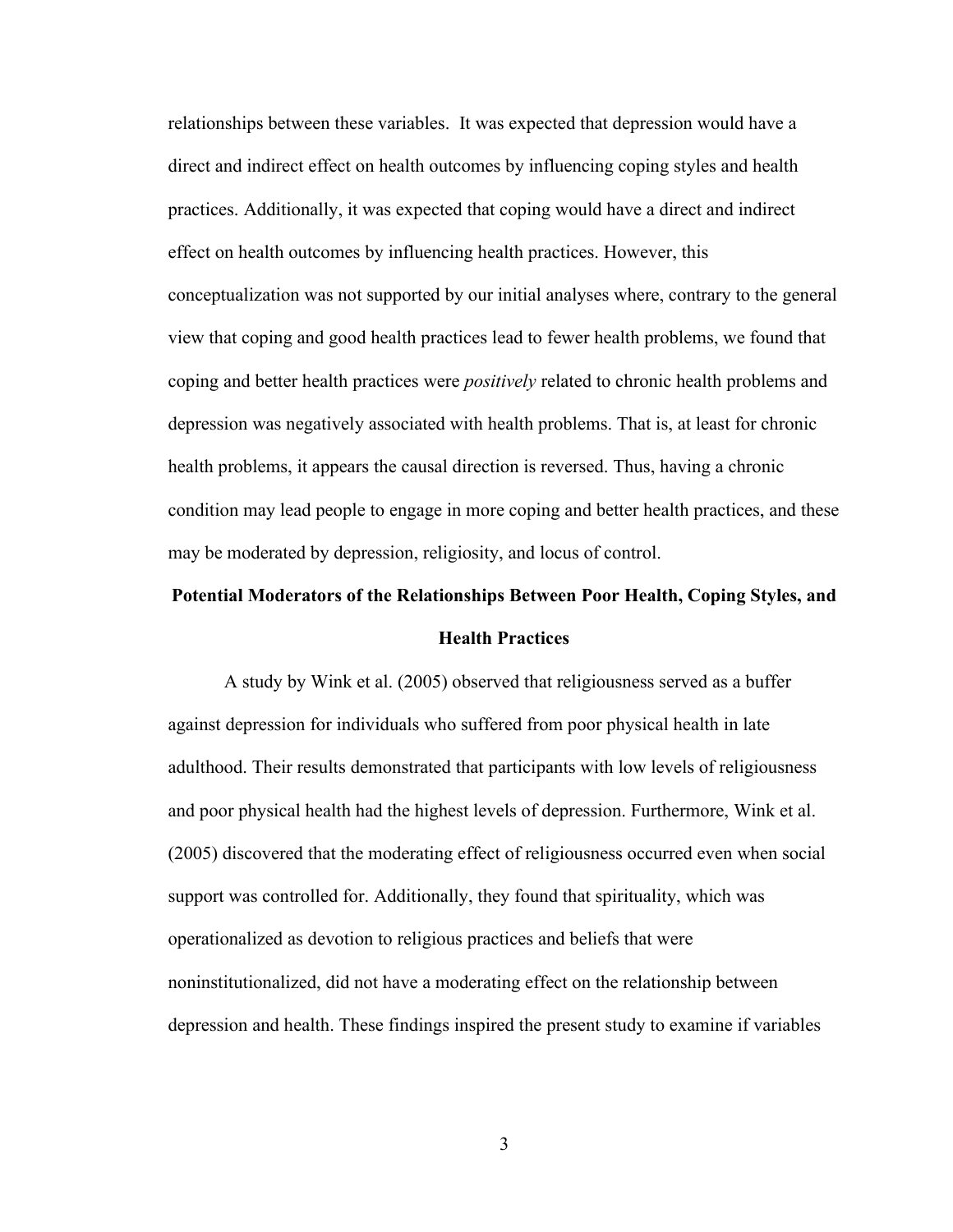relationships between these variables. It was expected that depression would have a direct and indirect effect on health outcomes by influencing coping styles and health practices. Additionally, it was expected that coping would have a direct and indirect effect on health outcomes by influencing health practices. However, this conceptualization was not supported by our initial analyses where, contrary to the general view that coping and good health practices lead to fewer health problems, we found that coping and better health practices were *positively* related to chronic health problems and depression was negatively associated with health problems. That is, at least for chronic health problems, it appears the causal direction is reversed. Thus, having a chronic condition may lead people to engage in more coping and better health practices, and these may be moderated by depression, religiosity, and locus of control.

# <span id="page-10-0"></span>**Potential Moderators of the Relationships Between Poor Health, Coping Styles, and Health Practices**

A study by Wink et al. (2005) observed that religiousness served as a buffer against depression for individuals who suffered from poor physical health in late adulthood. Their results demonstrated that participants with low levels of religiousness and poor physical health had the highest levels of depression. Furthermore, Wink et al. (2005) discovered that the moderating effect of religiousness occurred even when social support was controlled for. Additionally, they found that spirituality, which was operationalized as devotion to religious practices and beliefs that were noninstitutionalized, did not have a moderating effect on the relationship between depression and health. These findings inspired the present study to examine if variables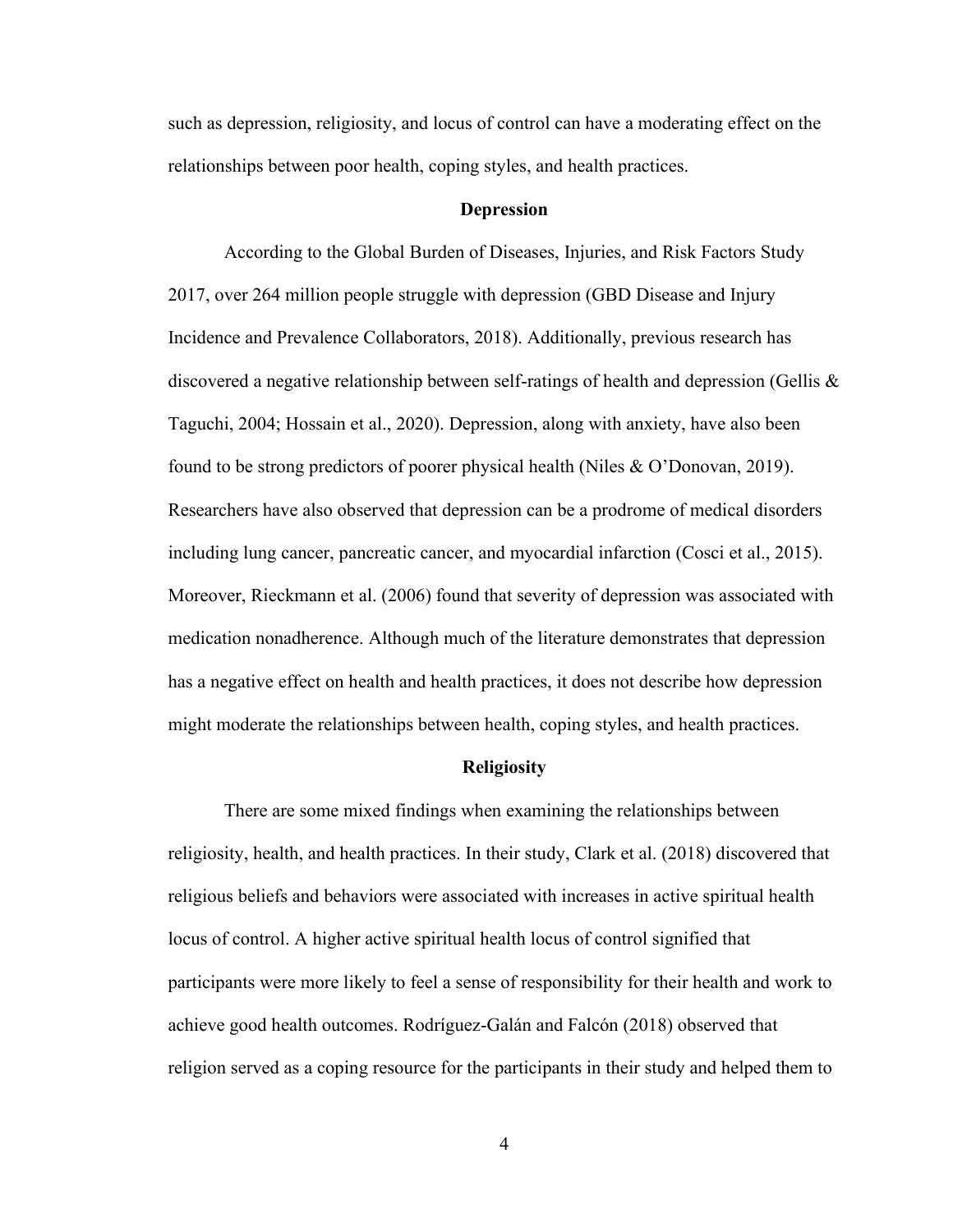such as depression, religiosity, and locus of control can have a moderating effect on the relationships between poor health, coping styles, and health practices.

#### **Depression**

<span id="page-11-0"></span>According to the Global Burden of Diseases, Injuries, and Risk Factors Study 2017, over 264 million people struggle with depression (GBD Disease and Injury Incidence and Prevalence Collaborators, 2018). Additionally, previous research has discovered a negative relationship between self-ratings of health and depression (Gellis  $\&$ Taguchi, 2004; Hossain et al., 2020). Depression, along with anxiety, have also been found to be strong predictors of poorer physical health (Niles & O'Donovan, 2019). Researchers have also observed that depression can be a prodrome of medical disorders including lung cancer, pancreatic cancer, and myocardial infarction (Cosci et al., 2015). Moreover, Rieckmann et al. (2006) found that severity of depression was associated with medication nonadherence. Although much of the literature demonstrates that depression has a negative effect on health and health practices, it does not describe how depression might moderate the relationships between health, coping styles, and health practices.

#### **Religiosity**

<span id="page-11-1"></span>There are some mixed findings when examining the relationships between religiosity, health, and health practices. In their study, Clark et al. (2018) discovered that religious beliefs and behaviors were associated with increases in active spiritual health locus of control. A higher active spiritual health locus of control signified that participants were more likely to feel a sense of responsibility for their health and work to achieve good health outcomes. Rodríguez-Galán and Falcón (2018) observed that religion served as a coping resource for the participants in their study and helped them to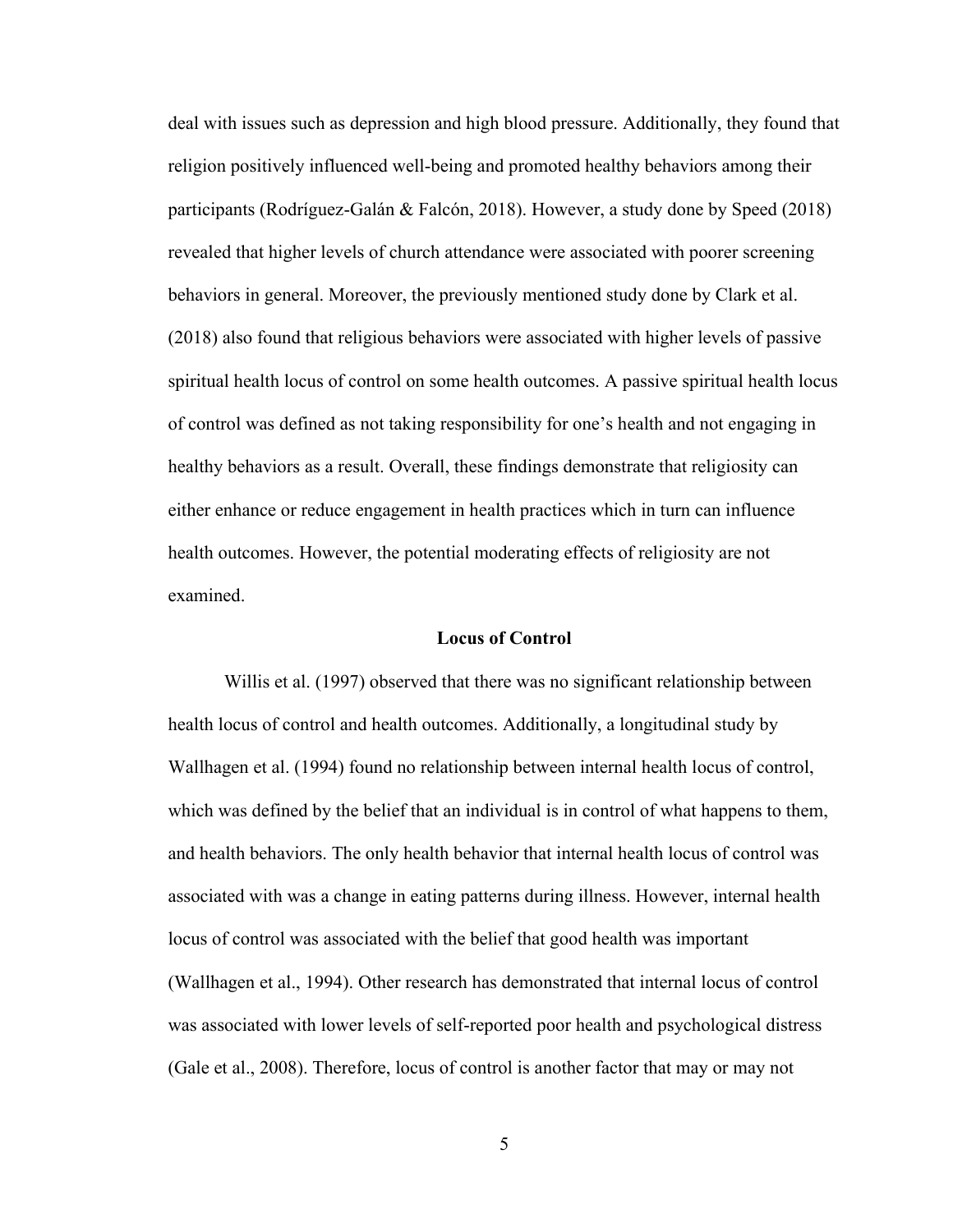deal with issues such as depression and high blood pressure. Additionally, they found that religion positively influenced well-being and promoted healthy behaviors among their participants (Rodríguez-Galán & Falcón, 2018). However, a study done by Speed (2018) revealed that higher levels of church attendance were associated with poorer screening behaviors in general. Moreover, the previously mentioned study done by Clark et al. (2018) also found that religious behaviors were associated with higher levels of passive spiritual health locus of control on some health outcomes. A passive spiritual health locus of control was defined as not taking responsibility for one's health and not engaging in healthy behaviors as a result. Overall, these findings demonstrate that religiosity can either enhance or reduce engagement in health practices which in turn can influence health outcomes. However, the potential moderating effects of religiosity are not examined.

#### **Locus of Control**

<span id="page-12-0"></span>Willis et al. (1997) observed that there was no significant relationship between health locus of control and health outcomes. Additionally, a longitudinal study by Wallhagen et al. (1994) found no relationship between internal health locus of control, which was defined by the belief that an individual is in control of what happens to them, and health behaviors. The only health behavior that internal health locus of control was associated with was a change in eating patterns during illness. However, internal health locus of control was associated with the belief that good health was important (Wallhagen et al., 1994). Other research has demonstrated that internal locus of control was associated with lower levels of self-reported poor health and psychological distress (Gale et al., 2008). Therefore, locus of control is another factor that may or may not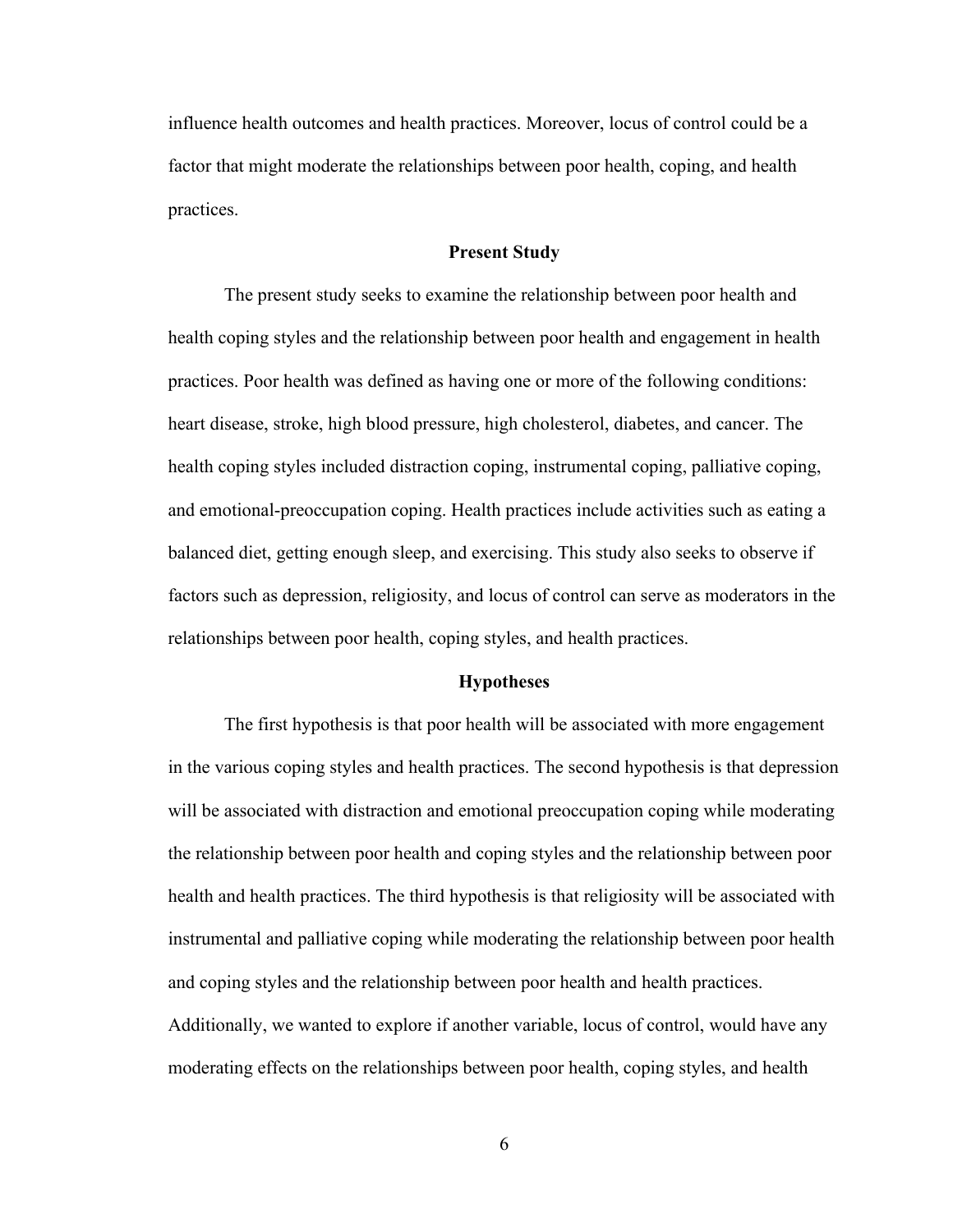influence health outcomes and health practices. Moreover, locus of control could be a factor that might moderate the relationships between poor health, coping, and health practices.

#### **Present Study**

<span id="page-13-0"></span>The present study seeks to examine the relationship between poor health and health coping styles and the relationship between poor health and engagement in health practices. Poor health was defined as having one or more of the following conditions: heart disease, stroke, high blood pressure, high cholesterol, diabetes, and cancer. The health coping styles included distraction coping, instrumental coping, palliative coping, and emotional-preoccupation coping. Health practices include activities such as eating a balanced diet, getting enough sleep, and exercising. This study also seeks to observe if factors such as depression, religiosity, and locus of control can serve as moderators in the relationships between poor health, coping styles, and health practices.

#### **Hypotheses**

<span id="page-13-1"></span>The first hypothesis is that poor health will be associated with more engagement in the various coping styles and health practices. The second hypothesis is that depression will be associated with distraction and emotional preoccupation coping while moderating the relationship between poor health and coping styles and the relationship between poor health and health practices. The third hypothesis is that religiosity will be associated with instrumental and palliative coping while moderating the relationship between poor health and coping styles and the relationship between poor health and health practices. Additionally, we wanted to explore if another variable, locus of control, would have any moderating effects on the relationships between poor health, coping styles, and health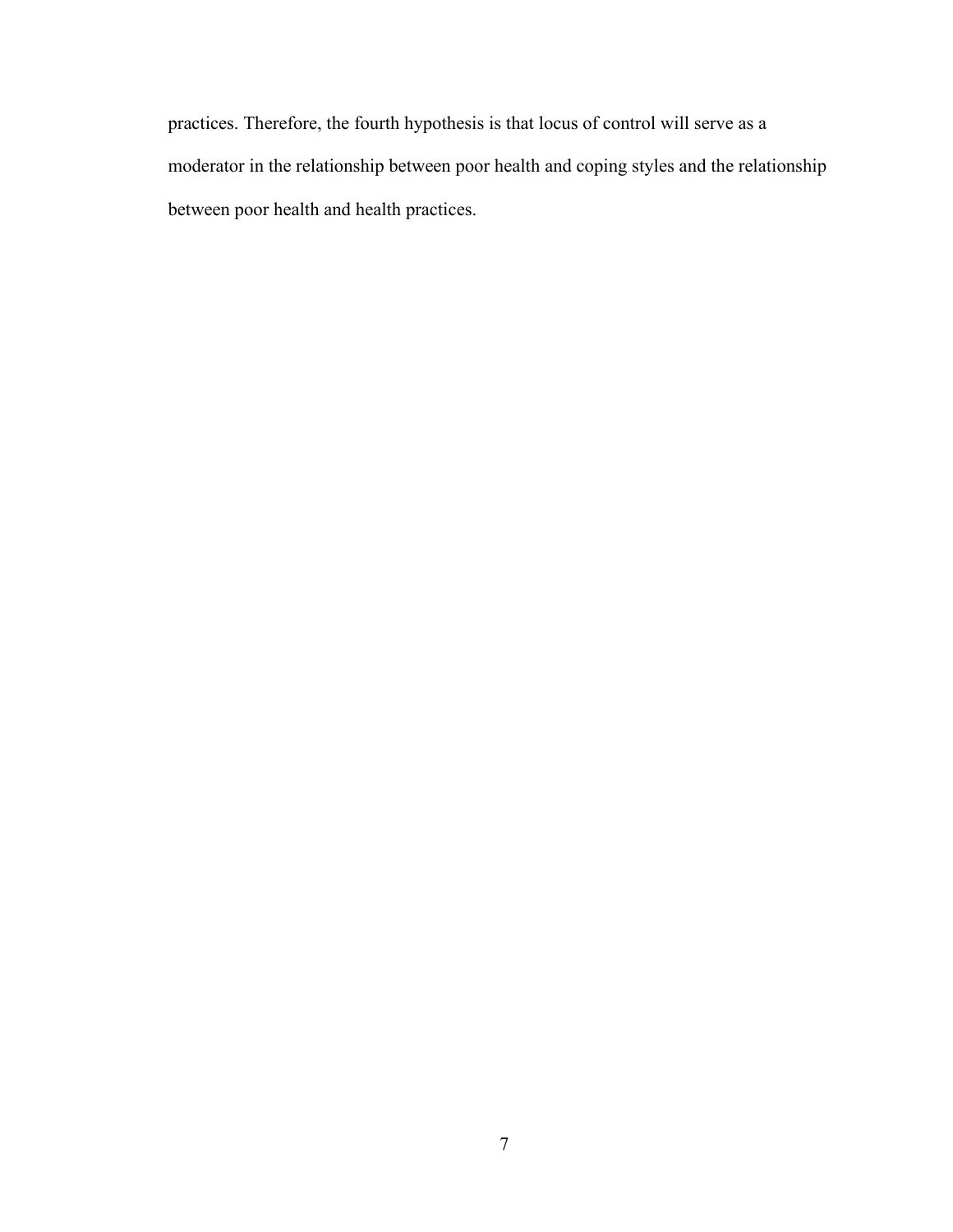<span id="page-14-0"></span>practices. Therefore, the fourth hypothesis is that locus of control will serve as a moderator in the relationship between poor health and coping styles and the relationship between poor health and health practices.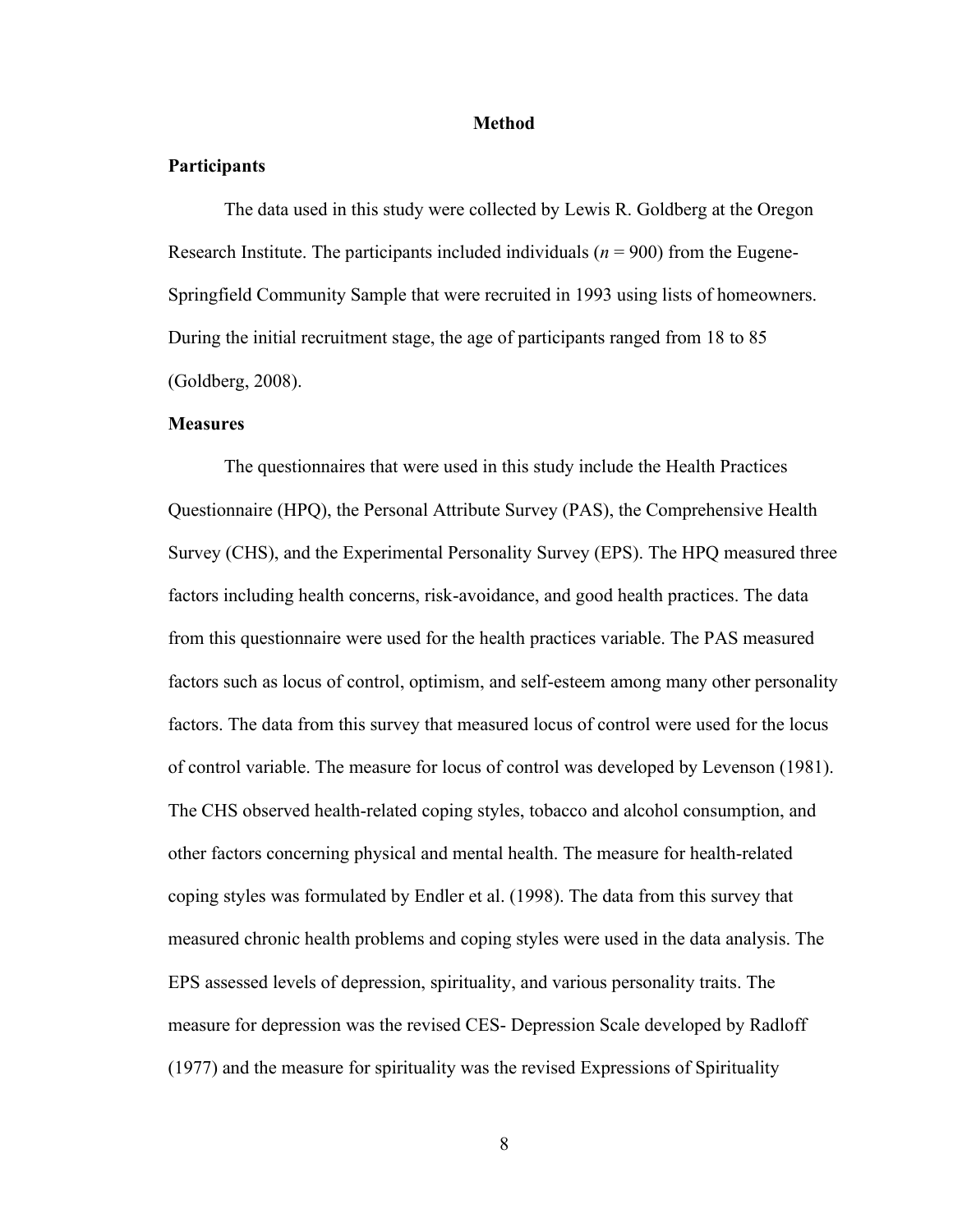#### **Method**

#### **Participants**

The data used in this study were collected by Lewis R. Goldberg at the Oregon Research Institute. The participants included individuals ( $n = 900$ ) from the Eugene-Springfield Community Sample that were recruited in 1993 using lists of homeowners. During the initial recruitment stage, the age of participants ranged from 18 to 85 (Goldberg, 2008).

#### **Measures**

The questionnaires that were used in this study include the Health Practices Questionnaire (HPQ), the Personal Attribute Survey (PAS), the Comprehensive Health Survey (CHS), and the Experimental Personality Survey (EPS). The HPQ measured three factors including health concerns, risk-avoidance, and good health practices. The data from this questionnaire were used for the health practices variable. The PAS measured factors such as locus of control, optimism, and self-esteem among many other personality factors. The data from this survey that measured locus of control were used for the locus of control variable. The measure for locus of control was developed by Levenson (1981). The CHS observed health-related coping styles, tobacco and alcohol consumption, and other factors concerning physical and mental health. The measure for health-related coping styles was formulated by Endler et al. (1998). The data from this survey that measured chronic health problems and coping styles were used in the data analysis. The EPS assessed levels of depression, spirituality, and various personality traits. The measure for depression was the revised CES- Depression Scale developed by Radloff (1977) and the measure for spirituality was the revised Expressions of Spirituality

8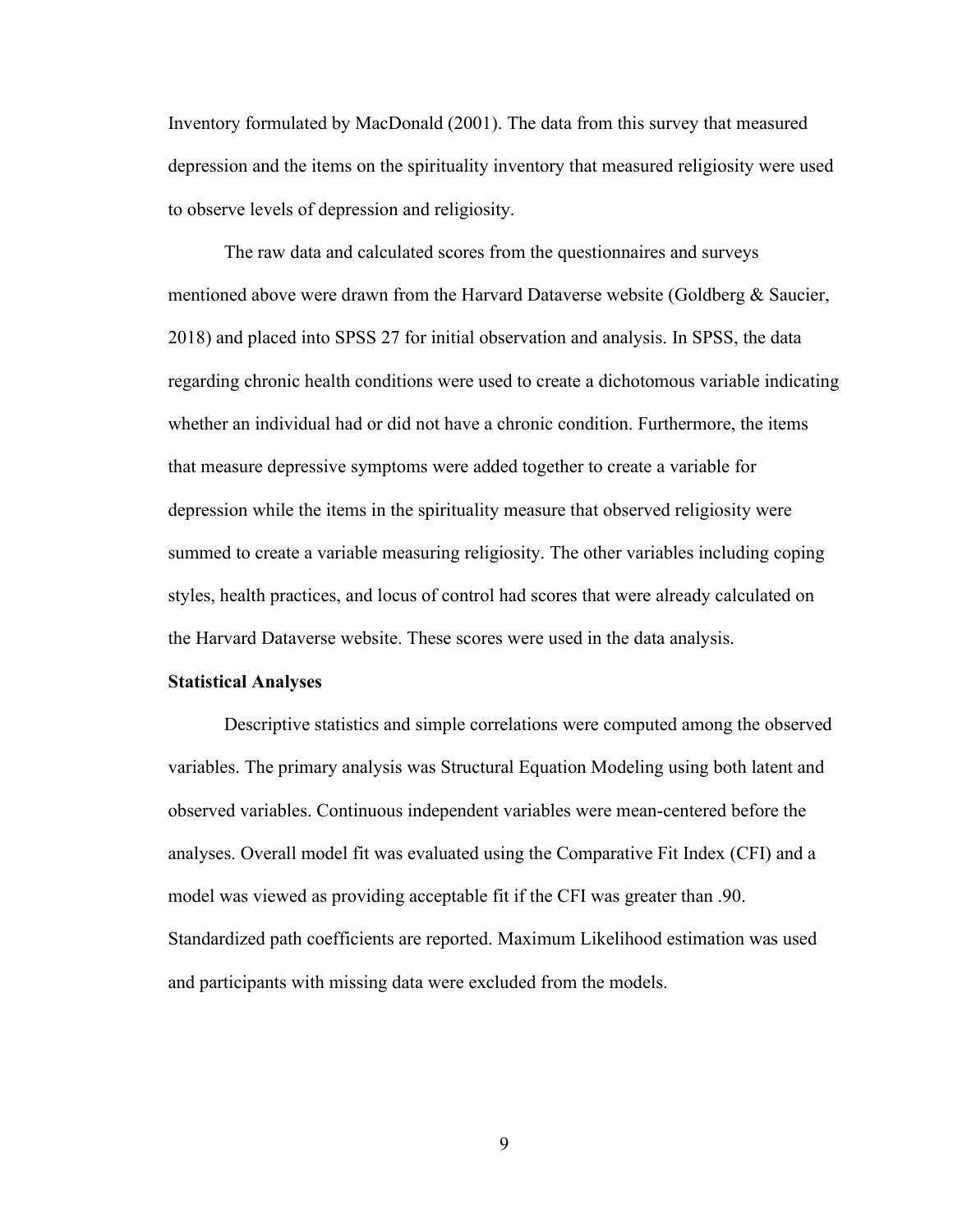Inventory formulated by MacDonald (2001). The data from this survey that measured depression and the items on the spirituality inventory that measured religiosity were used to observe levels of depression and religiosity.

The raw data and calculated scores from the questionnaires and surveys mentioned above were drawn from the Harvard Dataverse website (Goldberg & Saucier, 2018) and placed into SPSS 27 for initial observation and analysis. In SPSS, the data regarding chronic health conditions were used to create a dichotomous variable indicating whether an individual had or did not have a chronic condition. Furthermore, the items that measure depressive symptoms were added together to create a variable for depression while the items in the spirituality measure that observed religiosity were summed to create a variable measuring religiosity. The other variables including coping styles, health practices, and locus of control had scores that were already calculated on the Harvard Dataverse website. These scores were used in the data analysis.

#### **Statistical Analyses**

<span id="page-16-0"></span>Descriptive statistics and simple correlations were computed among the observed variables. The primary analysis was Structural Equation Modeling using both latent and observed variables. Continuous independent variables were mean-centered before the analyses. Overall model fit was evaluated using the Comparative Fit Index (CFI) and a model was viewed as providing acceptable fit if the CFI was greater than .90. Standardized path coefficients are reported. Maximum Likelihood estimation was used and participants with missing data were excluded from the models.

9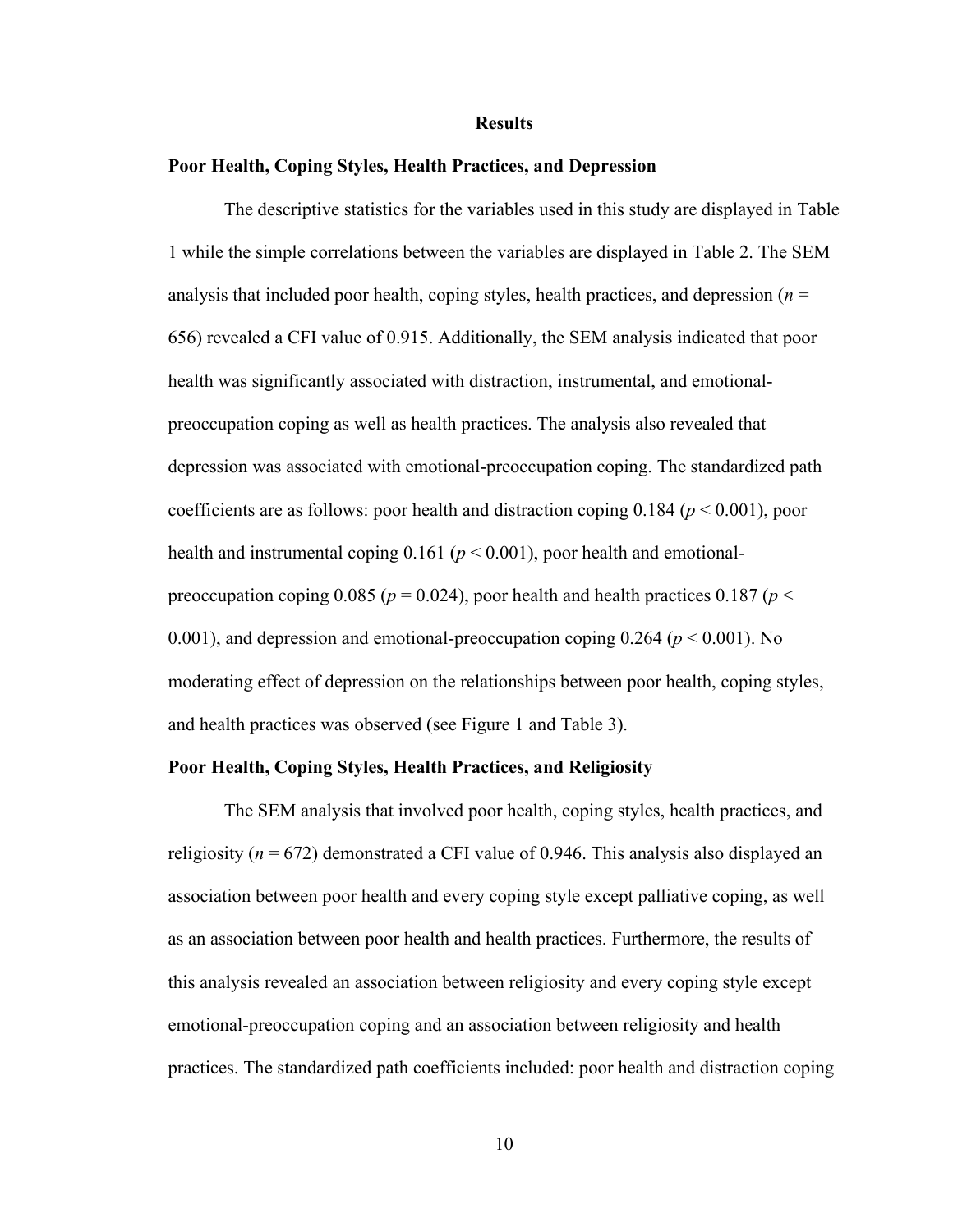#### **Results**

#### **Poor Health, Coping Styles, Health Practices, and Depression**

The descriptive statistics for the variables used in this study are displayed in Table 1 while the simple correlations between the variables are displayed in Table 2. The SEM analysis that included poor health, coping styles, health practices, and depression (*n* = 656) revealed a CFI value of 0.915. Additionally, the SEM analysis indicated that poor health was significantly associated with distraction, instrumental, and emotionalpreoccupation coping as well as health practices. The analysis also revealed that depression was associated with emotional-preoccupation coping. The standardized path coefficients are as follows: poor health and distraction coping 0.184 (*p* < 0.001), poor health and instrumental coping 0.161 (*p* < 0.001), poor health and emotionalpreoccupation coping 0.085 ( $p = 0.024$ ), poor health and health practices 0.187 ( $p <$ 0.001), and depression and emotional-preoccupation coping  $0.264$  ( $p < 0.001$ ). No moderating effect of depression on the relationships between poor health, coping styles, and health practices was observed (see Figure 1 and Table 3).

#### **Poor Health, Coping Styles, Health Practices, and Religiosity**

The SEM analysis that involved poor health, coping styles, health practices, and religiosity ( $n = 672$ ) demonstrated a CFI value of 0.946. This analysis also displayed an association between poor health and every coping style except palliative coping, as well as an association between poor health and health practices. Furthermore, the results of this analysis revealed an association between religiosity and every coping style except emotional-preoccupation coping and an association between religiosity and health practices. The standardized path coefficients included: poor health and distraction coping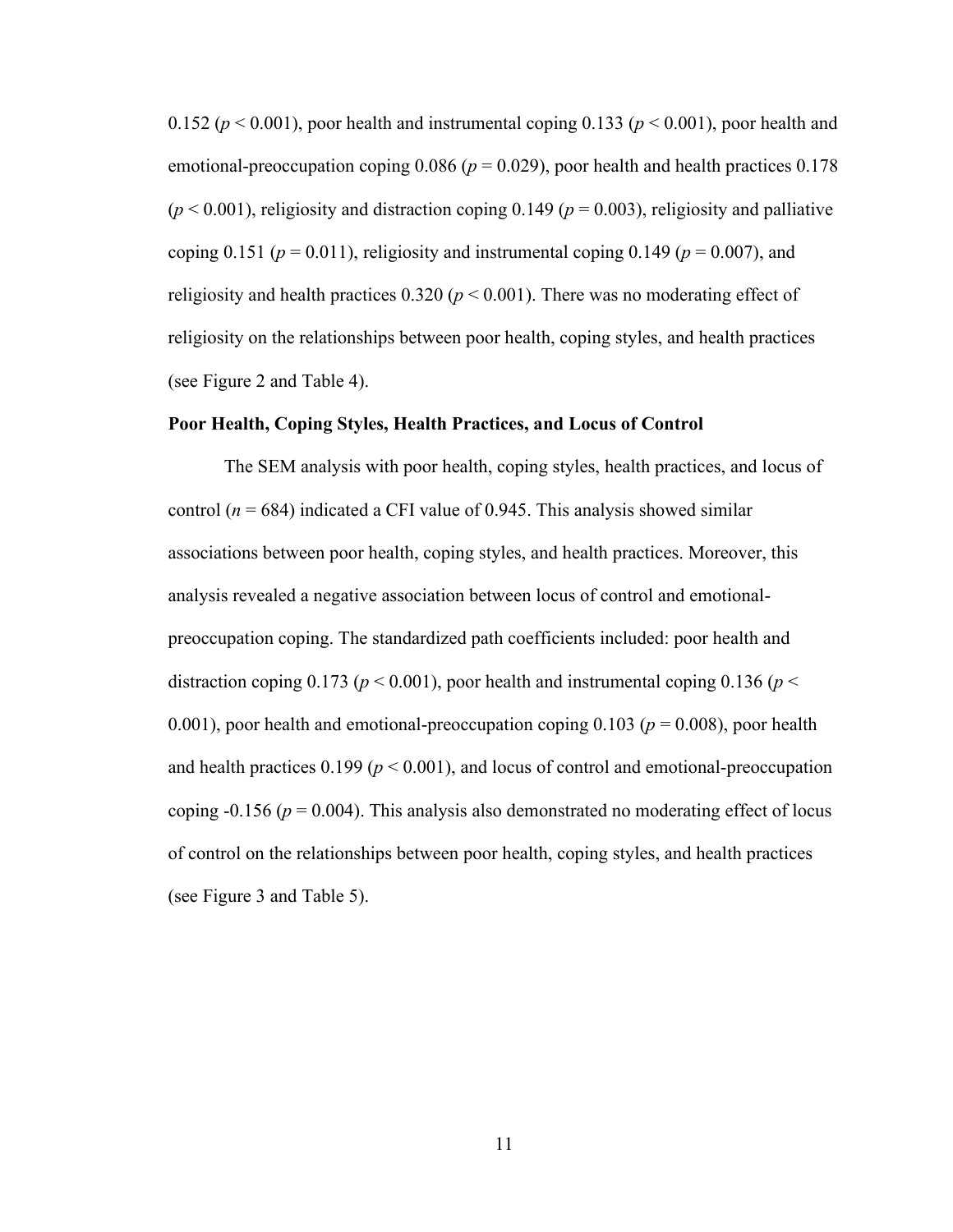0.152 ( $p < 0.001$ ), poor health and instrumental coping 0.133 ( $p < 0.001$ ), poor health and emotional-preoccupation coping  $0.086$  ( $p = 0.029$ ), poor health and health practices  $0.178$  $(p < 0.001)$ , religiosity and distraction coping 0.149 ( $p = 0.003$ ), religiosity and palliative coping 0.151 ( $p = 0.011$ ), religiosity and instrumental coping 0.149 ( $p = 0.007$ ), and religiosity and health practices  $0.320 (p \le 0.001)$ . There was no moderating effect of religiosity on the relationships between poor health, coping styles, and health practices (see Figure 2 and Table 4).

#### **Poor Health, Coping Styles, Health Practices, and Locus of Control**

<span id="page-18-0"></span>The SEM analysis with poor health, coping styles, health practices, and locus of control ( $n = 684$ ) indicated a CFI value of 0.945. This analysis showed similar associations between poor health, coping styles, and health practices. Moreover, this analysis revealed a negative association between locus of control and emotionalpreoccupation coping. The standardized path coefficients included: poor health and distraction coping 0.173 ( $p < 0.001$ ), poor health and instrumental coping 0.136 ( $p <$ 0.001), poor health and emotional-preoccupation coping  $0.103$  ( $p = 0.008$ ), poor health and health practices  $0.199 (p \le 0.001)$ , and locus of control and emotional-preoccupation coping  $-0.156$  ( $p = 0.004$ ). This analysis also demonstrated no moderating effect of locus of control on the relationships between poor health, coping styles, and health practices (see Figure 3 and Table 5).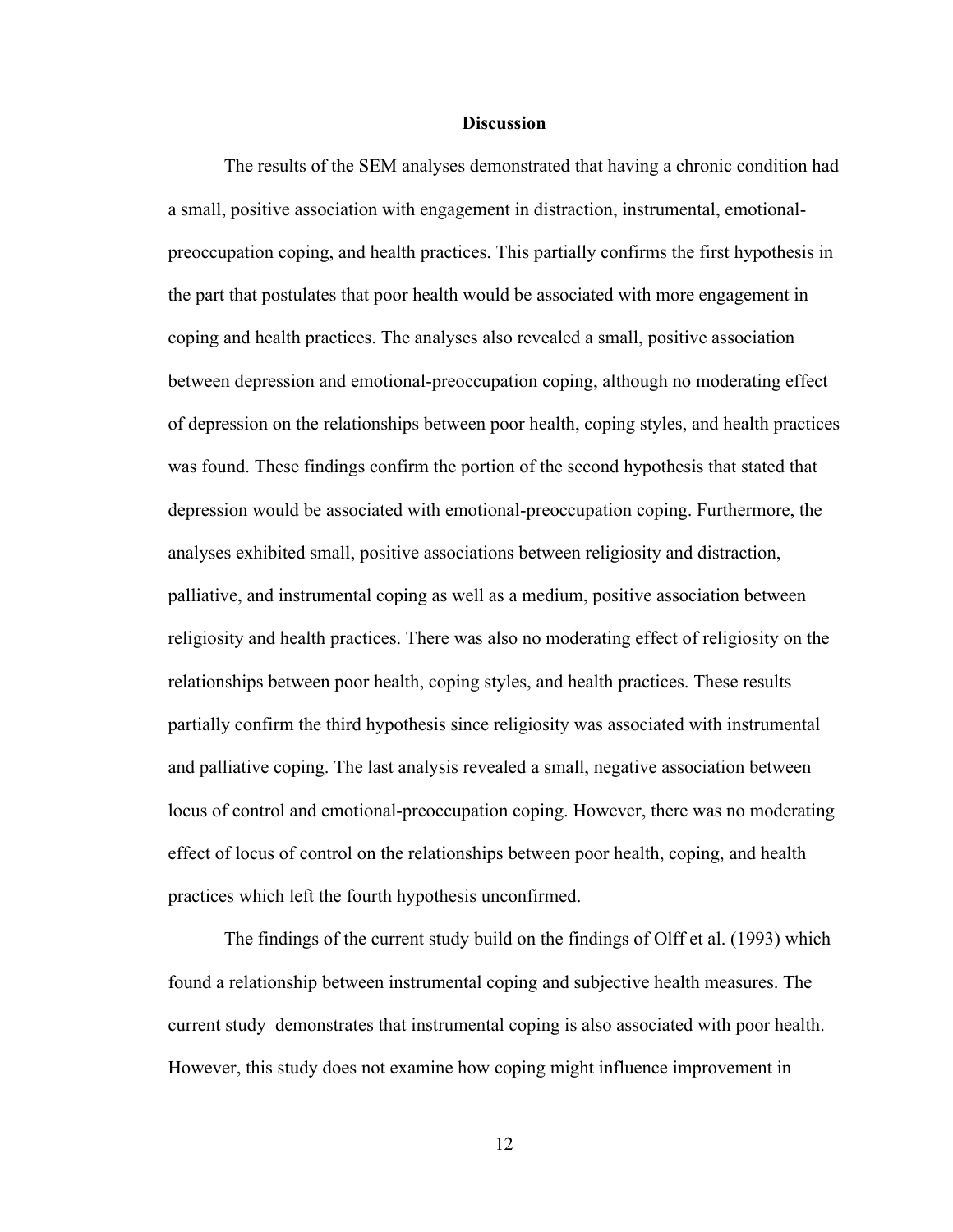#### **Discussion**

The results of the SEM analyses demonstrated that having a chronic condition had a small, positive association with engagement in distraction, instrumental, emotionalpreoccupation coping, and health practices. This partially confirms the first hypothesis in the part that postulates that poor health would be associated with more engagement in coping and health practices. The analyses also revealed a small, positive association between depression and emotional-preoccupation coping, although no moderating effect of depression on the relationships between poor health, coping styles, and health practices was found. These findings confirm the portion of the second hypothesis that stated that depression would be associated with emotional-preoccupation coping. Furthermore, the analyses exhibited small, positive associations between religiosity and distraction, palliative, and instrumental coping as well as a medium, positive association between religiosity and health practices. There was also no moderating effect of religiosity on the relationships between poor health, coping styles, and health practices. These results partially confirm the third hypothesis since religiosity was associated with instrumental and palliative coping. The last analysis revealed a small, negative association between locus of control and emotional-preoccupation coping. However, there was no moderating effect of locus of control on the relationships between poor health, coping, and health practices which left the fourth hypothesis unconfirmed.

The findings of the current study build on the findings of Olff et al. (1993) which found a relationship between instrumental coping and subjective health measures. The current study demonstrates that instrumental coping is also associated with poor health. However, this study does not examine how coping might influence improvement in

12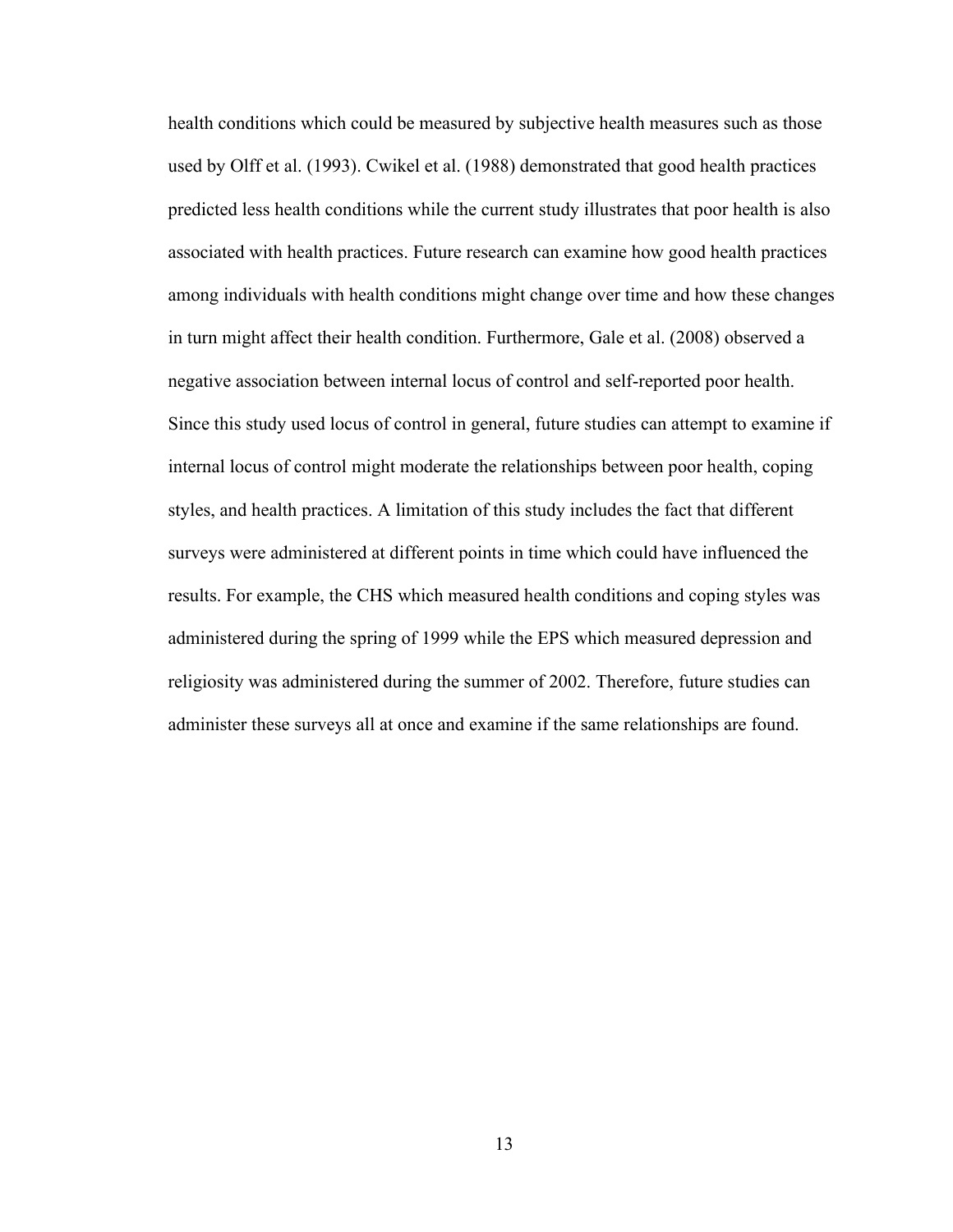health conditions which could be measured by subjective health measures such as those used by Olff et al. (1993). Cwikel et al. (1988) demonstrated that good health practices predicted less health conditions while the current study illustrates that poor health is also associated with health practices. Future research can examine how good health practices among individuals with health conditions might change over time and how these changes in turn might affect their health condition. Furthermore, Gale et al. (2008) observed a negative association between internal locus of control and self-reported poor health. Since this study used locus of control in general, future studies can attempt to examine if internal locus of control might moderate the relationships between poor health, coping styles, and health practices. A limitation of this study includes the fact that different surveys were administered at different points in time which could have influenced the results. For example, the CHS which measured health conditions and coping styles was administered during the spring of 1999 while the EPS which measured depression and religiosity was administered during the summer of 2002. Therefore, future studies can administer these surveys all at once and examine if the same relationships are found.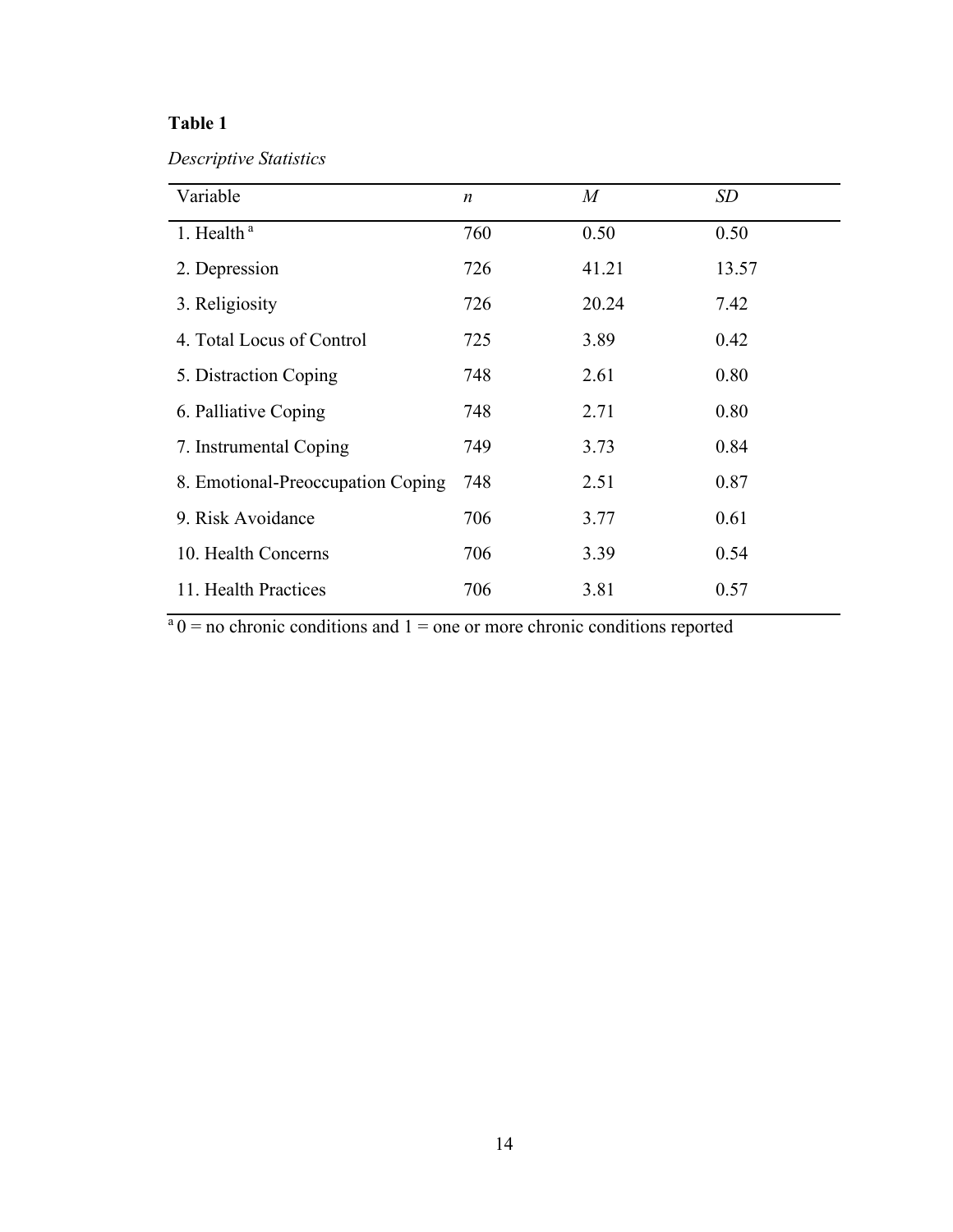*Descriptive Statistics*

| Variable                          | $\boldsymbol{n}$ | $\boldsymbol{M}$ | SD    |
|-----------------------------------|------------------|------------------|-------|
| 1. Health <sup>a</sup>            | 760              | 0.50             | 0.50  |
| 2. Depression                     | 726              | 41.21            | 13.57 |
| 3. Religiosity                    | 726              | 20.24            | 7.42  |
| 4. Total Locus of Control         | 725              | 3.89             | 0.42  |
| 5. Distraction Coping             | 748              | 2.61             | 0.80  |
| 6. Palliative Coping              | 748              | 2.71             | 0.80  |
| 7. Instrumental Coping            | 749              | 3.73             | 0.84  |
| 8. Emotional-Preoccupation Coping | 748              | 2.51             | 0.87  |
| 9. Risk Avoidance                 | 706              | 3.77             | 0.61  |
| 10. Health Concerns               | 706              | 3.39             | 0.54  |
| 11. Health Practices              | 706              | 3.81             | 0.57  |

 $a_0 =$  no chronic conditions and  $1 =$  one or more chronic conditions reported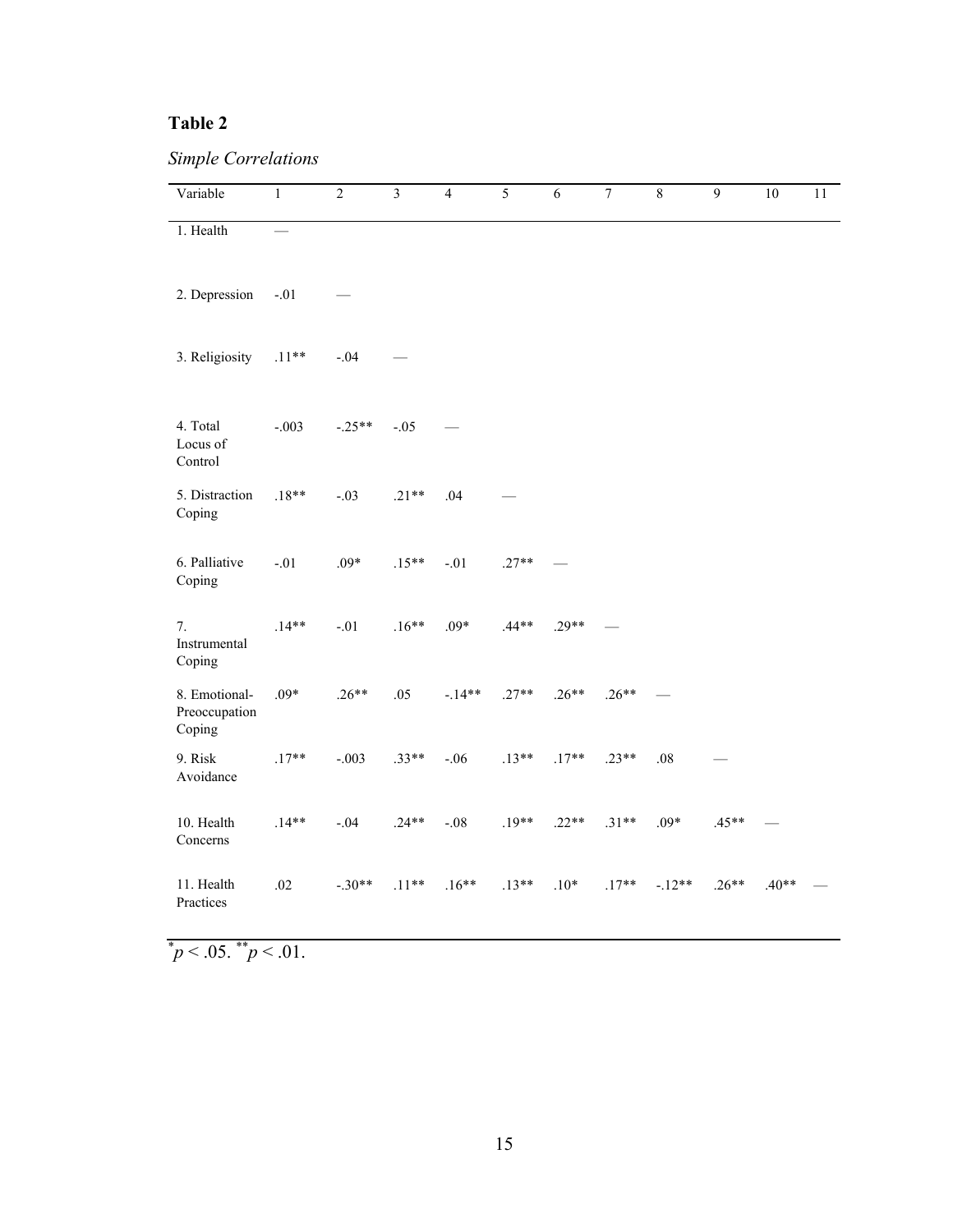*Simple Correlations* 

| Variable                                 | $\mathbf{1}$ | $\overline{2}$ | $\overline{3}$ | $\overline{4}$ | $\overline{5}$ | $\overline{6}$ | $\overline{7}$ | $\overline{8}$ | $\overline{9}$ | 10      | 11 |
|------------------------------------------|--------------|----------------|----------------|----------------|----------------|----------------|----------------|----------------|----------------|---------|----|
| 1. Health                                |              |                |                |                |                |                |                |                |                |         |    |
| 2. Depression                            | $-.01$       |                |                |                |                |                |                |                |                |         |    |
| 3. Religiosity                           | $.11**$      | $-.04$         |                |                |                |                |                |                |                |         |    |
| 4. Total<br>Locus of<br>Control          | $-.003$      | $-.25**$       | $-.05$         |                |                |                |                |                |                |         |    |
| 5. Distraction<br>Coping                 | $.18**$      | $-.03$         | $.21**$        | .04            |                |                |                |                |                |         |    |
| 6. Palliative<br>Coping                  | $-.01$       | $.09*$         | $.15**$        | $-.01$         | $.27**$        |                |                |                |                |         |    |
| 7.<br>Instrumental<br>Coping             | $.14**$      | $-.01$         | $.16**$        | $.09*$         | $.44**$        | $.29**$        |                |                |                |         |    |
| 8. Emotional-<br>Preoccupation<br>Coping | $.09*$       | $.26**$        | .05            | $-.14**$       | $.27**$        | $.26**$        | $.26**$        |                |                |         |    |
| 9. Risk<br>Avoidance                     | $.17**$      | $-.003$        | $.33**$        | $-.06$         | $.13**$        | $.17**$        | $.23**$        | $.08\,$        |                |         |    |
| 10. Health<br>Concerns                   | $.14**$      | $-.04$         | $.24**$        | $-.08$         | $.19**$        | $.22**$        | $.31**$        | $.09*$         | $.45**$        |         |    |
| 11. Health<br>Practices                  | .02          | $-.30**$       | $.11**$        | $.16**$        | $.13**$        | $.10*$         | $.17**$        | $-12**$        | $.26**$        | $.40**$ |    |

 $\mu$ <sup>\*</sup> $p$  < .05.  $\mu$ <sup>\*</sup> $p$  < .01.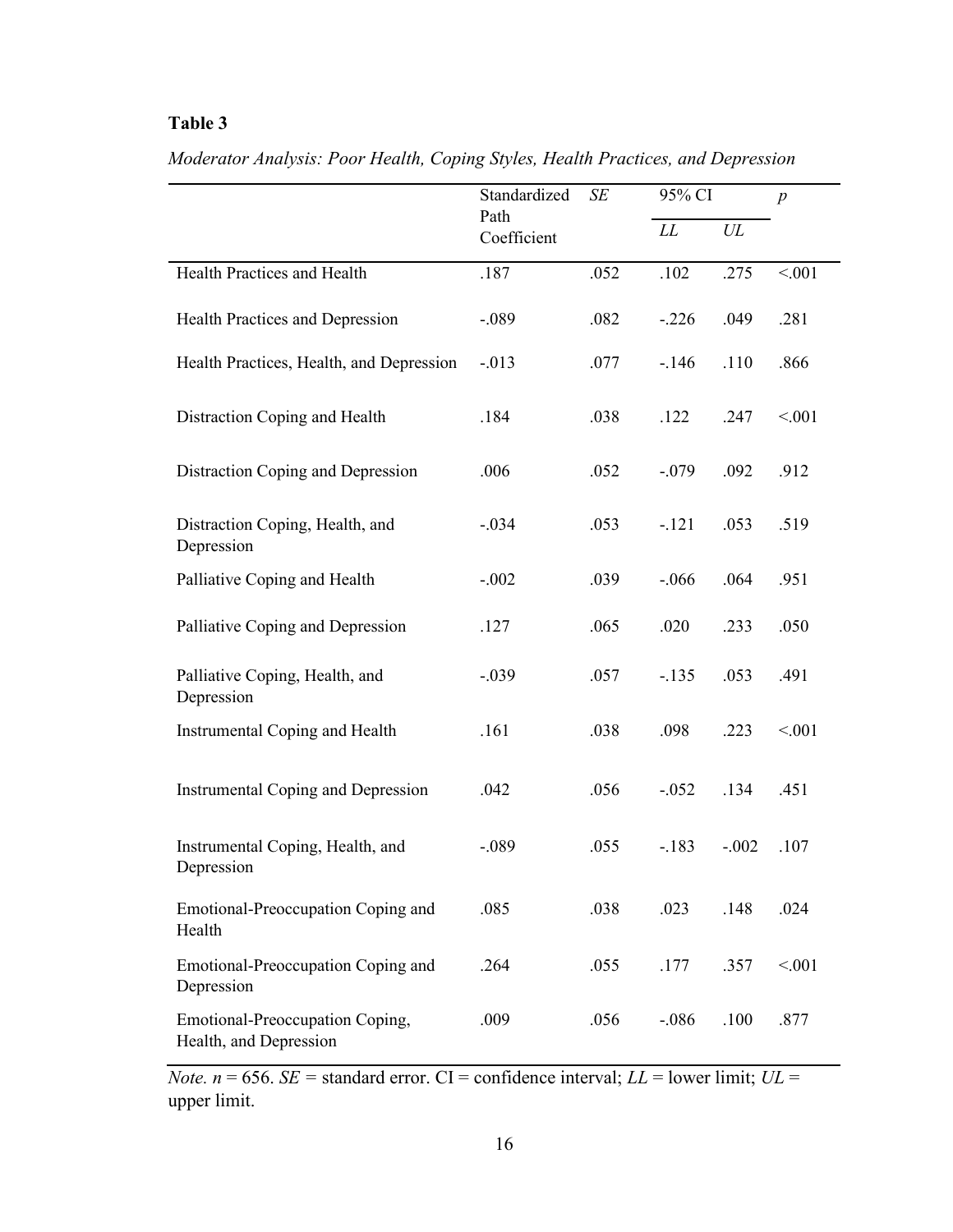|                                                           | Standardized        | SE   | 95% CI   |         | $\boldsymbol{p}$ |
|-----------------------------------------------------------|---------------------|------|----------|---------|------------------|
|                                                           | Path<br>Coefficient |      | LL       | UL      |                  |
| Health Practices and Health                               | .187                | .052 | .102     | .275    | < 001            |
| Health Practices and Depression                           | $-.089$             | .082 | $-.226$  | .049    | .281             |
| Health Practices, Health, and Depression                  | $-0.013$            | .077 | $-146$   | .110    | .866             |
| Distraction Coping and Health                             | .184                | .038 | .122     | .247    | < 0.01           |
| Distraction Coping and Depression                         | .006                | .052 | $-.079$  | .092    | .912             |
| Distraction Coping, Health, and<br>Depression             | $-.034$             | .053 | $-121$   | .053    | .519             |
| Palliative Coping and Health                              | $-.002$             | .039 | $-0.066$ | .064    | .951             |
| Palliative Coping and Depression                          | .127                | .065 | .020     | .233    | .050             |
| Palliative Coping, Health, and<br>Depression              | $-.039$             | .057 | $-.135$  | .053    | .491             |
| <b>Instrumental Coping and Health</b>                     | .161                | .038 | .098     | .223    | < 001            |
| <b>Instrumental Coping and Depression</b>                 | .042                | .056 | $-.052$  | .134    | .451             |
| Instrumental Coping, Health, and<br>Depression            | $-.089$             | .055 | $-.183$  | $-.002$ | .107             |
| Emotional-Preoccupation Coping and<br>Health              | .085                | .038 | .023     | .148    | .024             |
| Emotional-Preoccupation Coping and<br>Depression          | .264                | .055 | .177     | .357    | < 001            |
| Emotional-Preoccupation Coping,<br>Health, and Depression | .009                | .056 | $-.086$  | .100    | .877             |

*Moderator Analysis: Poor Health, Coping Styles, Health Practices, and Depression*

*Note.*  $n = 656$ . *SE* = standard error. CI = confidence interval; *LL* = lower limit; *UL* = upper limit.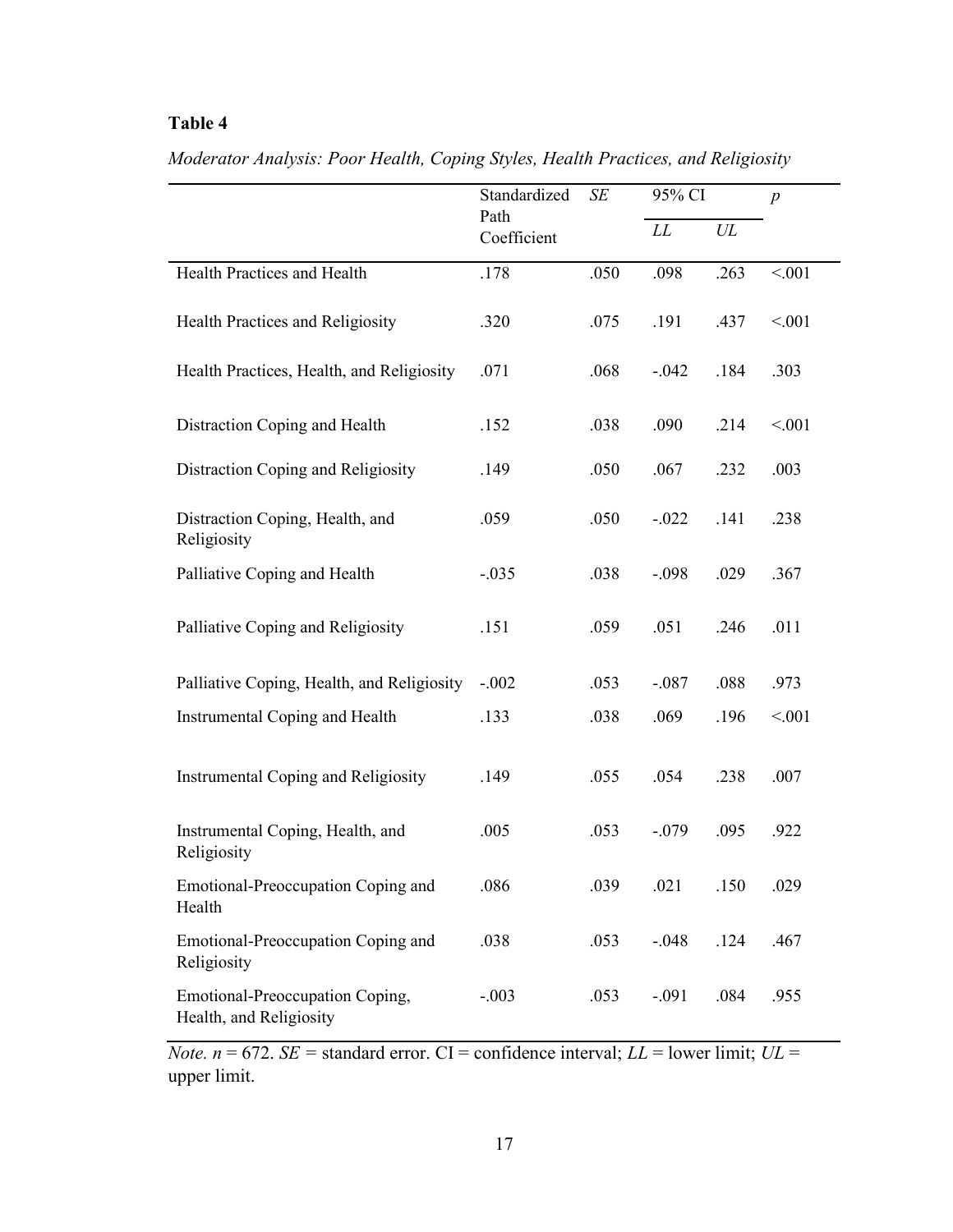|                                                            | Standardized<br>SE  |      | 95% CI  |      | $\boldsymbol{p}$ |
|------------------------------------------------------------|---------------------|------|---------|------|------------------|
|                                                            | Path<br>Coefficient |      | LL      | UL   |                  |
| Health Practices and Health                                | .178                | .050 | .098    | .263 | < 0.01           |
| Health Practices and Religiosity                           | .320                | .075 | .191    | .437 | < 0.01           |
| Health Practices, Health, and Religiosity                  | .071                | .068 | $-.042$ | .184 | .303             |
| Distraction Coping and Health                              | .152                | .038 | .090    | .214 | < 0.01           |
| Distraction Coping and Religiosity                         | .149                | .050 | .067    | .232 | .003             |
| Distraction Coping, Health, and<br>Religiosity             | .059                | .050 | $-.022$ | .141 | .238             |
| Palliative Coping and Health                               | $-.035$             | .038 | $-.098$ | .029 | .367             |
| Palliative Coping and Religiosity                          | .151                | .059 | .051    | .246 | .011             |
| Palliative Coping, Health, and Religiosity                 | $-.002$             | .053 | $-.087$ | .088 | .973             |
| Instrumental Coping and Health                             | .133                | .038 | .069    | .196 | < 0.01           |
| <b>Instrumental Coping and Religiosity</b>                 | .149                | .055 | .054    | .238 | .007             |
| Instrumental Coping, Health, and<br>Religiosity            | .005                | .053 | $-.079$ | .095 | .922             |
| Emotional-Preoccupation Coping and<br>Health               | .086                | .039 | .021    | .150 | .029             |
| Emotional-Preoccupation Coping and<br>Religiosity          | .038                | .053 | $-.048$ | .124 | .467             |
| Emotional-Preoccupation Coping,<br>Health, and Religiosity | $-.003$             | .053 | $-.091$ | .084 | .955             |

*Moderator Analysis: Poor Health, Coping Styles, Health Practices, and Religiosity*

*Note.*  $n = 672$ . *SE* = standard error. CI = confidence interval; *LL* = lower limit; *UL* = upper limit.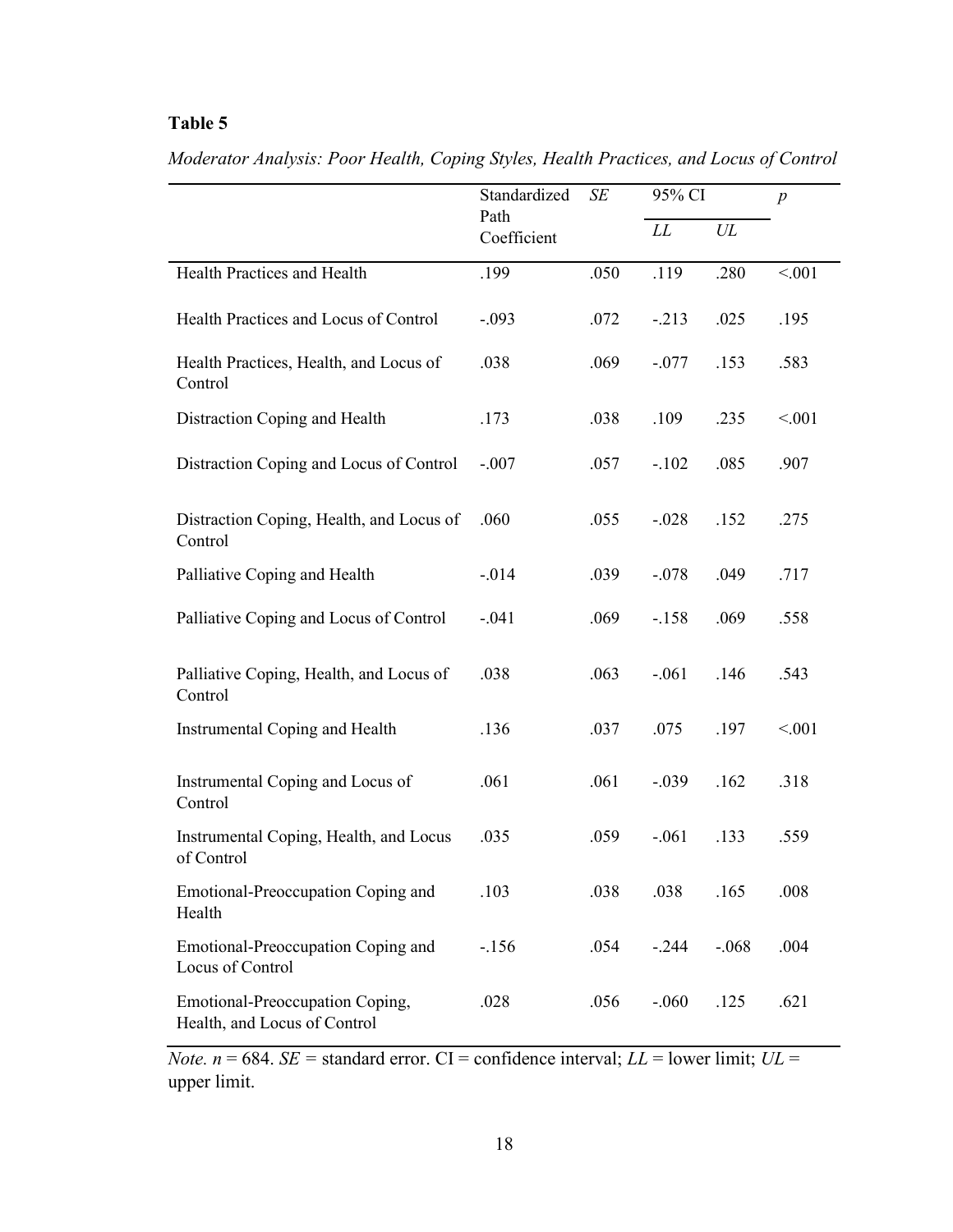|                                                                 | Standardized        | SE   | 95% CI  |         | $\boldsymbol{p}$ |
|-----------------------------------------------------------------|---------------------|------|---------|---------|------------------|
|                                                                 | Path<br>Coefficient |      | LL      | UL      |                  |
| Health Practices and Health                                     | .199                | .050 | .119    | .280    | < 001            |
| Health Practices and Locus of Control                           | $-.093$             | .072 | $-213$  | .025    | .195             |
| Health Practices, Health, and Locus of<br>Control               | .038                | .069 | $-.077$ | .153    | .583             |
| Distraction Coping and Health                                   | .173                | .038 | .109    | .235    | < 001            |
| Distraction Coping and Locus of Control                         | $-.007$             | .057 | $-.102$ | .085    | .907             |
| Distraction Coping, Health, and Locus of<br>Control             | .060                | .055 | $-.028$ | .152    | .275             |
| Palliative Coping and Health                                    | $-0.014$            | .039 | $-.078$ | .049    | .717             |
| Palliative Coping and Locus of Control                          | $-.041$             | .069 | $-158$  | .069    | .558             |
| Palliative Coping, Health, and Locus of<br>Control              | .038                | .063 | $-.061$ | .146    | .543             |
| Instrumental Coping and Health                                  | .136                | .037 | .075    | .197    | < 001            |
| Instrumental Coping and Locus of<br>Control                     | .061                | .061 | $-.039$ | .162    | .318             |
| Instrumental Coping, Health, and Locus<br>of Control            | .035                | .059 | $-.061$ | .133    | .559             |
| Emotional-Preoccupation Coping and<br>Health                    | .103                | .038 | .038    | .165    | .008             |
| Emotional-Preoccupation Coping and<br>Locus of Control          | $-156$              | .054 | $-.244$ | $-.068$ | .004             |
| Emotional-Preoccupation Coping,<br>Health, and Locus of Control | .028                | .056 | $-.060$ | .125    | .621             |

*Moderator Analysis: Poor Health, Coping Styles, Health Practices, and Locus of Control*

*Note.*  $n = 684$ . *SE* = standard error. CI = confidence interval; *LL* = lower limit; *UL* = upper limit.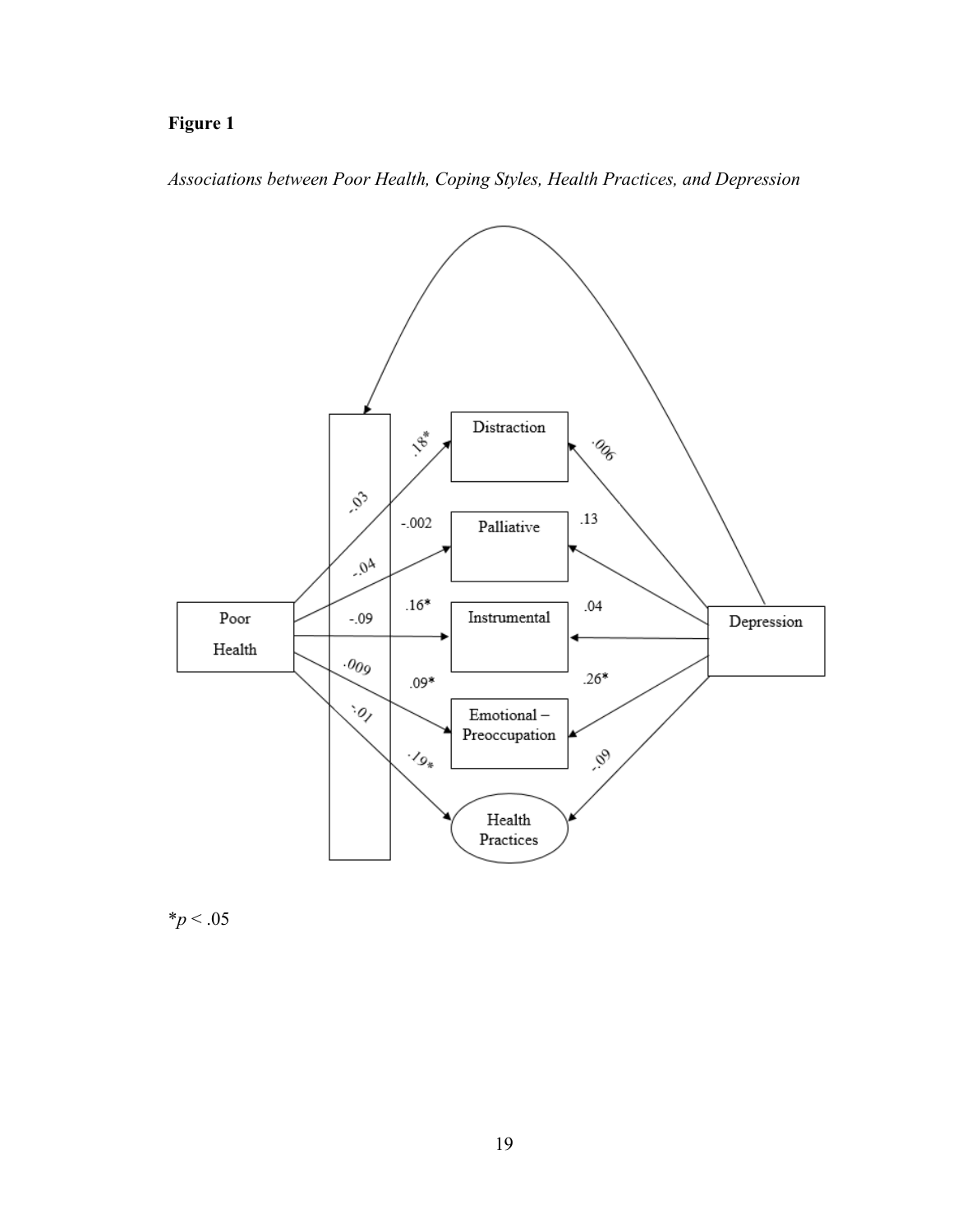# **Figure 1**

*Associations between Poor Health, Coping Styles, Health Practices, and Depression*



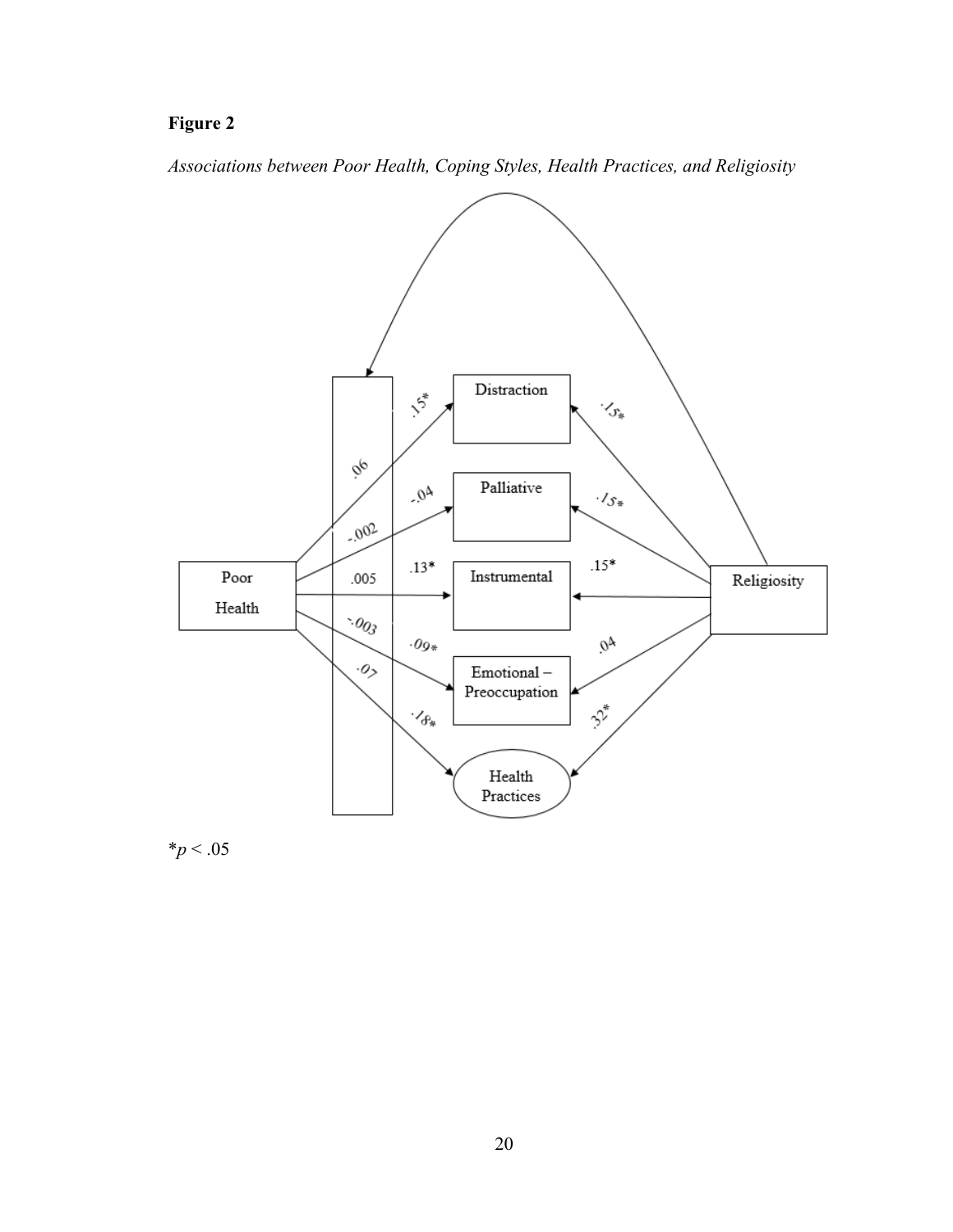## **Figure 2**

*Associations between Poor Health, Coping Styles, Health Practices, and Religiosity*



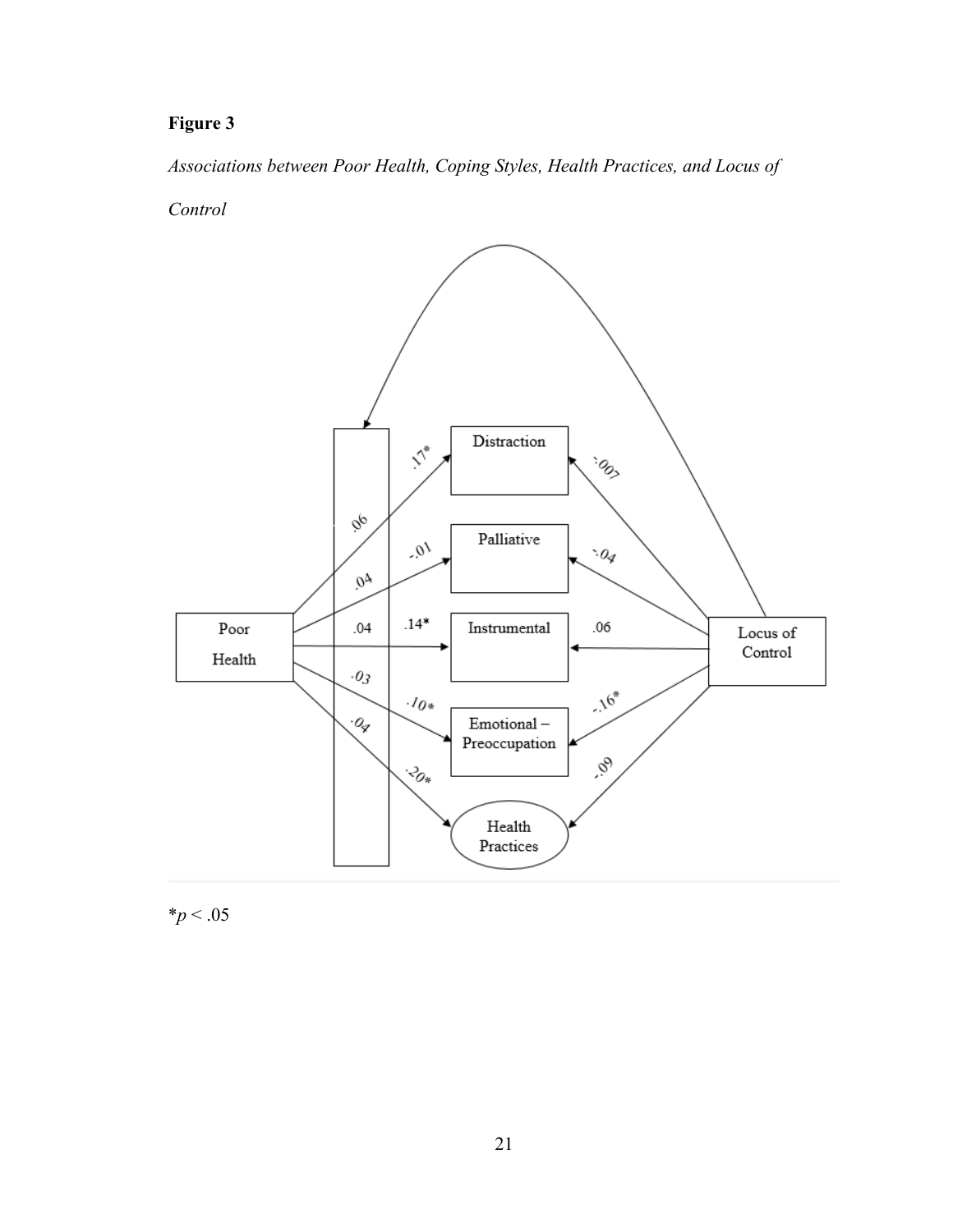## **Figure 3**

*Associations between Poor Health, Coping Styles, Health Practices, and Locus of* 

*Control*



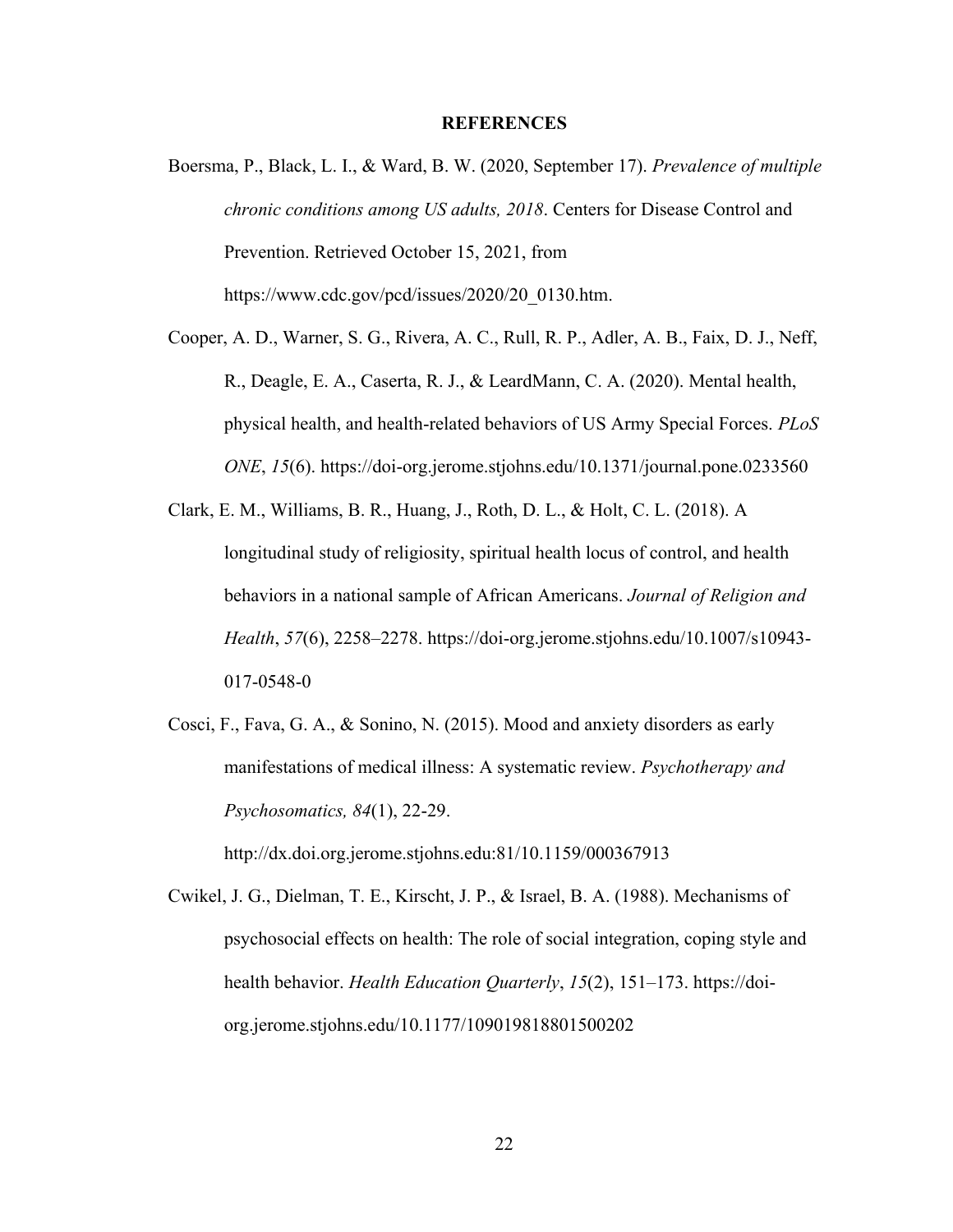#### **REFERENCES**

- <span id="page-29-0"></span>Boersma, P., Black, L. I., & Ward, B. W. (2020, September 17). *Prevalence of multiple chronic conditions among US adults, 2018*. Centers for Disease Control and Prevention. Retrieved October 15, 2021, from https://www.cdc.gov/pcd/issues/2020/20\_0130.htm.
- Cooper, A. D., Warner, S. G., Rivera, A. C., Rull, R. P., Adler, A. B., Faix, D. J., Neff, R., Deagle, E. A., Caserta, R. J., & LeardMann, C. A. (2020). Mental health, physical health, and health-related behaviors of US Army Special Forces. *PLoS ONE*, *15*(6). https://doi-org.jerome.stjohns.edu/10.1371/journal.pone.0233560
- Clark, E. M., Williams, B. R., Huang, J., Roth, D. L., & Holt, C. L. (2018). A longitudinal study of religiosity, spiritual health locus of control, and health behaviors in a national sample of African Americans. *Journal of Religion and Health*, *57*(6), 2258–2278. https://doi-org.jerome.stjohns.edu/10.1007/s10943- 017-0548-0
- Cosci, F., Fava, G. A., & Sonino, N. (2015). Mood and anxiety disorders as early manifestations of medical illness: A systematic review. *Psychotherapy and Psychosomatics, 84*(1), 22-29.

http://dx.doi.org.jerome.stjohns.edu:81/10.1159/000367913

Cwikel, J. G., Dielman, T. E., Kirscht, J. P., & Israel, B. A. (1988). Mechanisms of psychosocial effects on health: The role of social integration, coping style and health behavior. *Health Education Quarterly*, *15*(2), 151–173. https://doiorg.jerome.stjohns.edu/10.1177/109019818801500202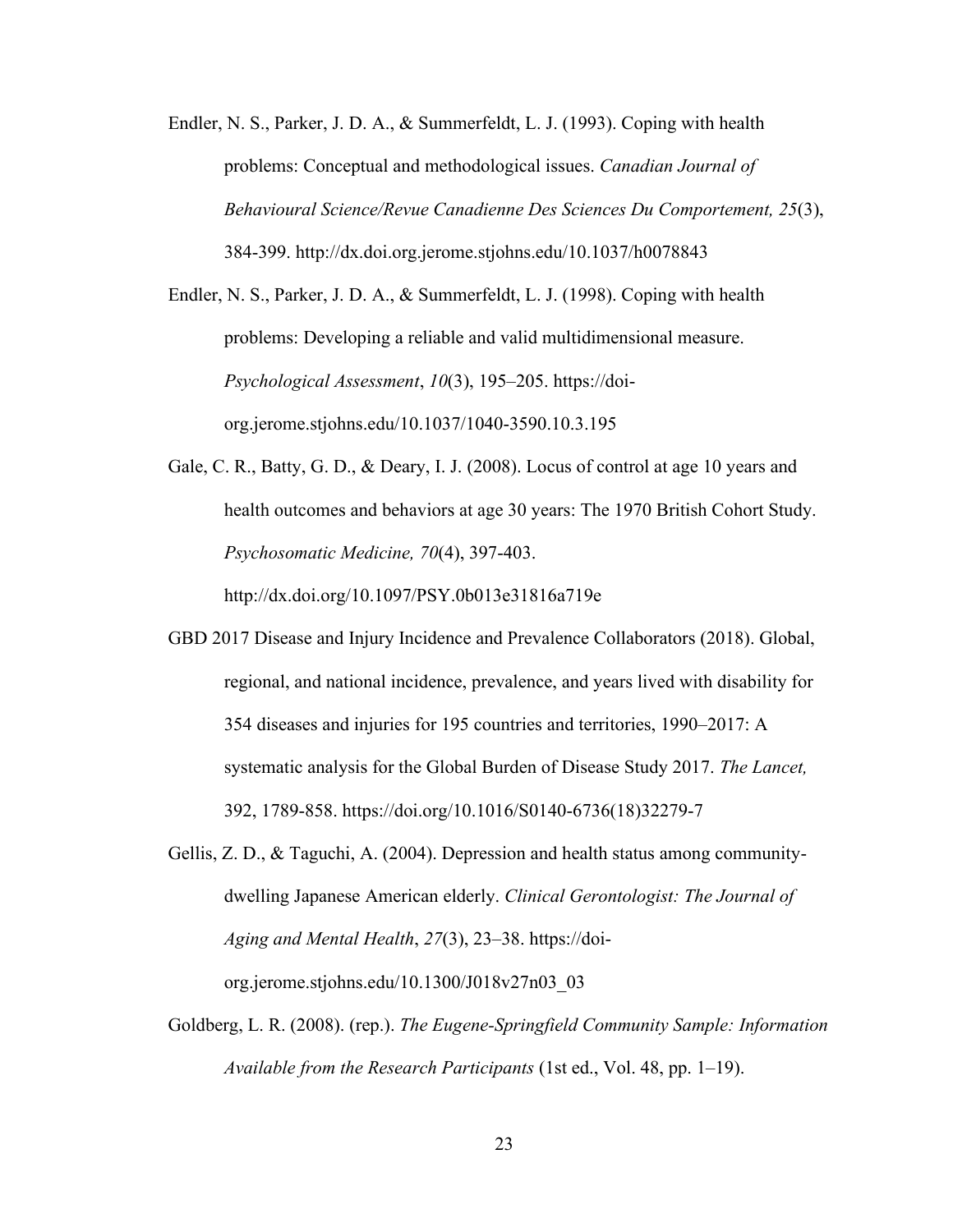Endler, N. S., Parker, J. D. A., & Summerfeldt, L. J. (1993). Coping with health problems: Conceptual and methodological issues. *Canadian Journal of Behavioural Science/Revue Canadienne Des Sciences Du Comportement, 25*(3), 384-399. http://dx.doi.org.jerome.stjohns.edu/10.1037/h0078843

Endler, N. S., Parker, J. D. A., & Summerfeldt, L. J. (1998). Coping with health problems: Developing a reliable and valid multidimensional measure. *Psychological Assessment*, *10*(3), 195–205. https://doiorg.jerome.stjohns.edu/10.1037/1040-3590.10.3.195

Gale, C. R., Batty, G. D., & Deary, I. J. (2008). Locus of control at age 10 years and health outcomes and behaviors at age 30 years: The 1970 British Cohort Study. *Psychosomatic Medicine, 70*(4), 397-403.

http://dx.doi.org/10.1097/PSY.0b013e31816a719e

- GBD 2017 Disease and Injury Incidence and Prevalence Collaborators (2018). Global, regional, and national incidence, prevalence, and years lived with disability for 354 diseases and injuries for 195 countries and territories, 1990–2017: A systematic analysis for the Global Burden of Disease Study 2017. *The Lancet,*  392, 1789-858. https://doi.org/10.1016/S0140-6736(18)32279-7
- Gellis, Z. D., & Taguchi, A. (2004). Depression and health status among communitydwelling Japanese American elderly. *Clinical Gerontologist: The Journal of Aging and Mental Health*, *27*(3), 23–38. https://doiorg.jerome.stjohns.edu/10.1300/J018v27n03\_03
- Goldberg, L. R. (2008). (rep.). *The Eugene-Springfield Community Sample: Information Available from the Research Participants* (1st ed., Vol. 48, pp. 1–19).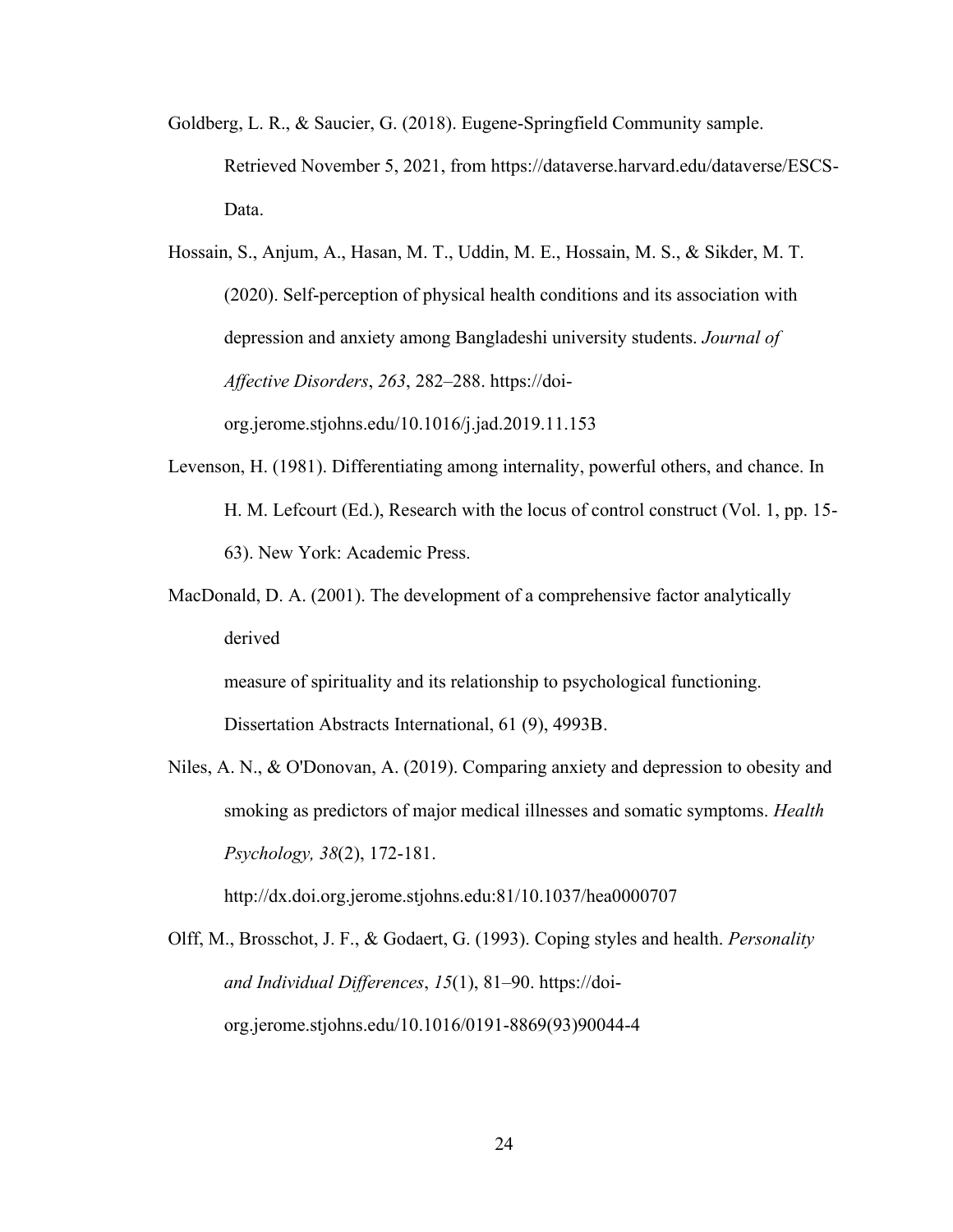- Goldberg, L. R., & Saucier, G. (2018). Eugene-Springfield Community sample. Retrieved November 5, 2021, from https://dataverse.harvard.edu/dataverse/ESCS-Data.
- Hossain, S., Anjum, A., Hasan, M. T., Uddin, M. E., Hossain, M. S., & Sikder, M. T. (2020). Self-perception of physical health conditions and its association with depression and anxiety among Bangladeshi university students. *Journal of Affective Disorders*, *263*, 282–288. https://doiorg.jerome.stjohns.edu/10.1016/j.jad.2019.11.153
- Levenson, H. (1981). Differentiating among internality, powerful others, and chance. In H. M. Lefcourt (Ed.), Research with the locus of control construct (Vol. 1, pp. 15- 63). New York: Academic Press.
- MacDonald, D. A. (2001). The development of a comprehensive factor analytically derived

measure of spirituality and its relationship to psychological functioning. Dissertation Abstracts International, 61 (9), 4993B.

Niles, A. N., & O'Donovan, A. (2019). Comparing anxiety and depression to obesity and smoking as predictors of major medical illnesses and somatic symptoms. *Health Psychology, 38*(2), 172-181.

http://dx.doi.org.jerome.stjohns.edu:81/10.1037/hea0000707

Olff, M., Brosschot, J. F., & Godaert, G. (1993). Coping styles and health. *Personality and Individual Differences*, *15*(1), 81–90. https://doiorg.jerome.stjohns.edu/10.1016/0191-8869(93)90044-4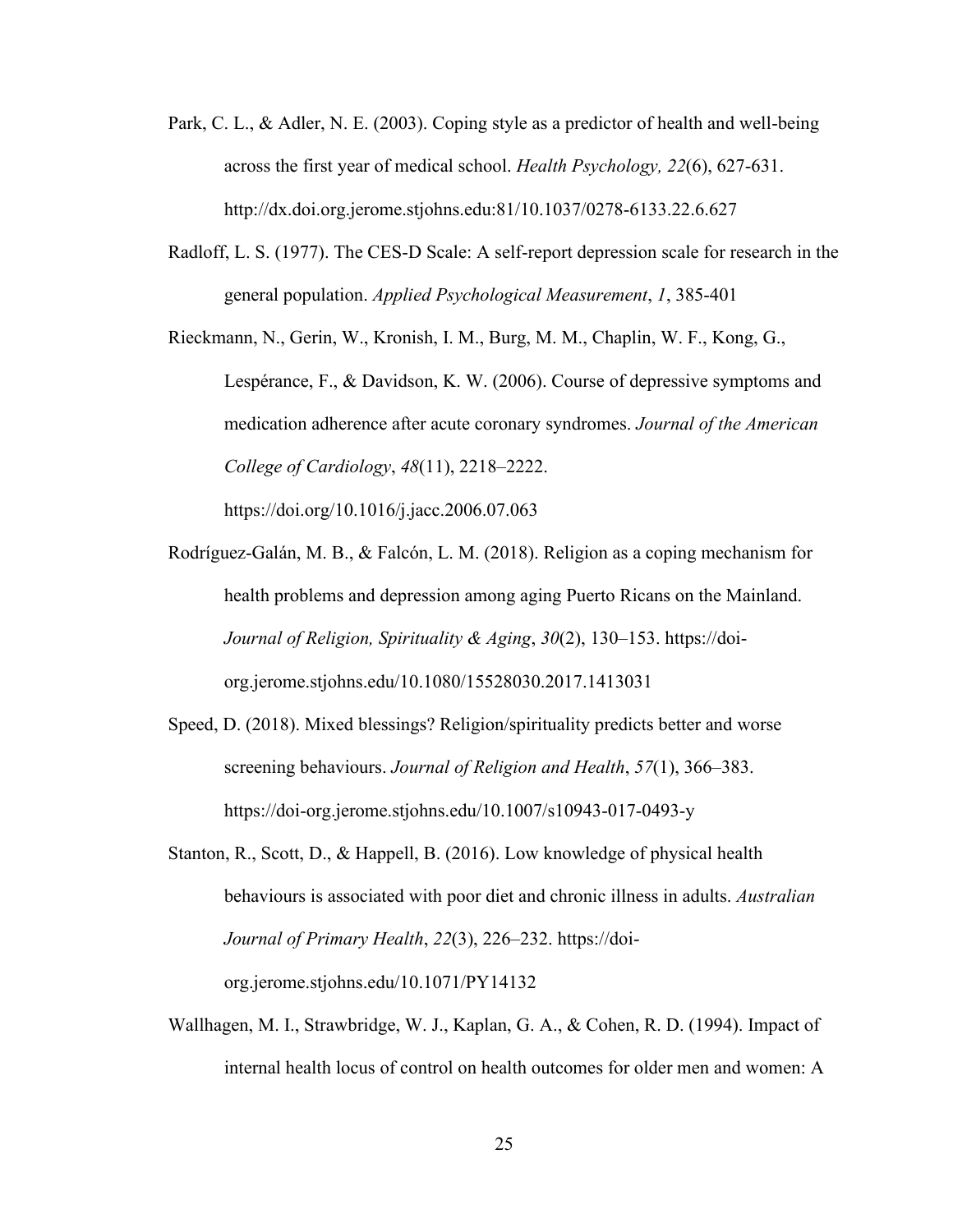- Park, C. L., & Adler, N. E. (2003). Coping style as a predictor of health and well-being across the first year of medical school. *Health Psychology, 22*(6), 627-631. http://dx.doi.org.jerome.stjohns.edu:81/10.1037/0278-6133.22.6.627
- Radloff, L. S. (1977). The CES-D Scale: A self-report depression scale for research in the general population. *Applied Psychological Measurement*, *1*, 385-401

Rieckmann, N., Gerin, W., Kronish, I. M., Burg, M. M., Chaplin, W. F., Kong, G., Lespérance, F., & Davidson, K. W. (2006). Course of depressive symptoms and medication adherence after acute coronary syndromes. *Journal of the American College of Cardiology*, *48*(11), 2218–2222.

https://doi.org/10.1016/j.jacc.2006.07.063

- Rodríguez-Galán, M. B., & Falcón, L. M. (2018). Religion as a coping mechanism for health problems and depression among aging Puerto Ricans on the Mainland. *Journal of Religion, Spirituality & Aging*, *30*(2), 130–153. https://doiorg.jerome.stjohns.edu/10.1080/15528030.2017.1413031
- Speed, D. (2018). Mixed blessings? Religion/spirituality predicts better and worse screening behaviours. *Journal of Religion and Health*, *57*(1), 366–383. https://doi-org.jerome.stjohns.edu/10.1007/s10943-017-0493-y
- Stanton, R., Scott, D., & Happell, B. (2016). Low knowledge of physical health behaviours is associated with poor diet and chronic illness in adults. *Australian Journal of Primary Health*, *22*(3), 226–232. https://doiorg.jerome.stjohns.edu/10.1071/PY14132
- Wallhagen, M. I., Strawbridge, W. J., Kaplan, G. A., & Cohen, R. D. (1994). Impact of internal health locus of control on health outcomes for older men and women: A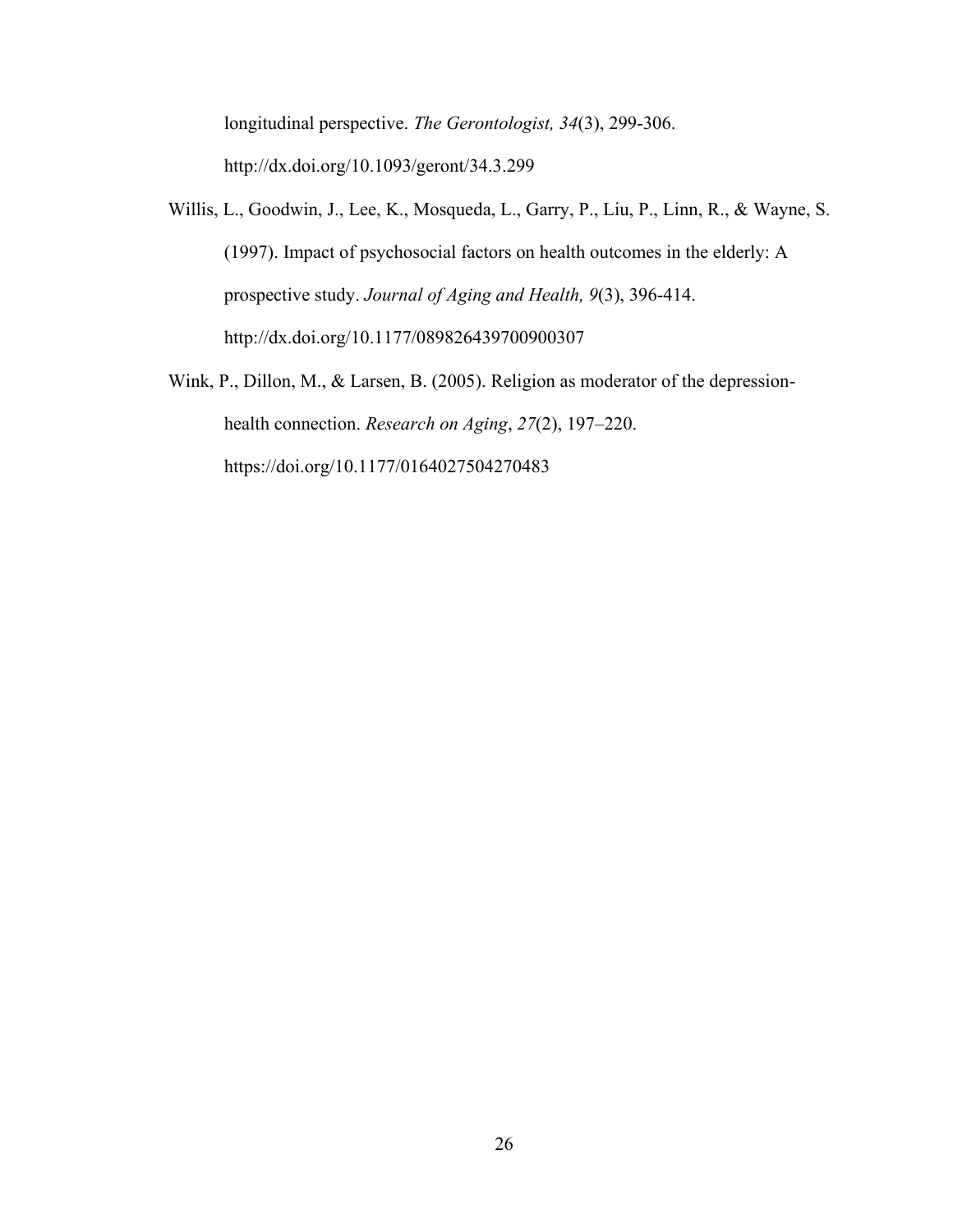longitudinal perspective. *The Gerontologist, 34*(3), 299-306. http://dx.doi.org/10.1093/geront/34.3.299

- Willis, L., Goodwin, J., Lee, K., Mosqueda, L., Garry, P., Liu, P., Linn, R., & Wayne, S. (1997). Impact of psychosocial factors on health outcomes in the elderly: A prospective study. *Journal of Aging and Health, 9*(3), 396-414. http://dx.doi.org/10.1177/089826439700900307
- Wink, P., Dillon, M., & Larsen, B. (2005). Religion as moderator of the depressionhealth connection. *Research on Aging*, *27*(2), 197–220. https://doi.org/10.1177/0164027504270483